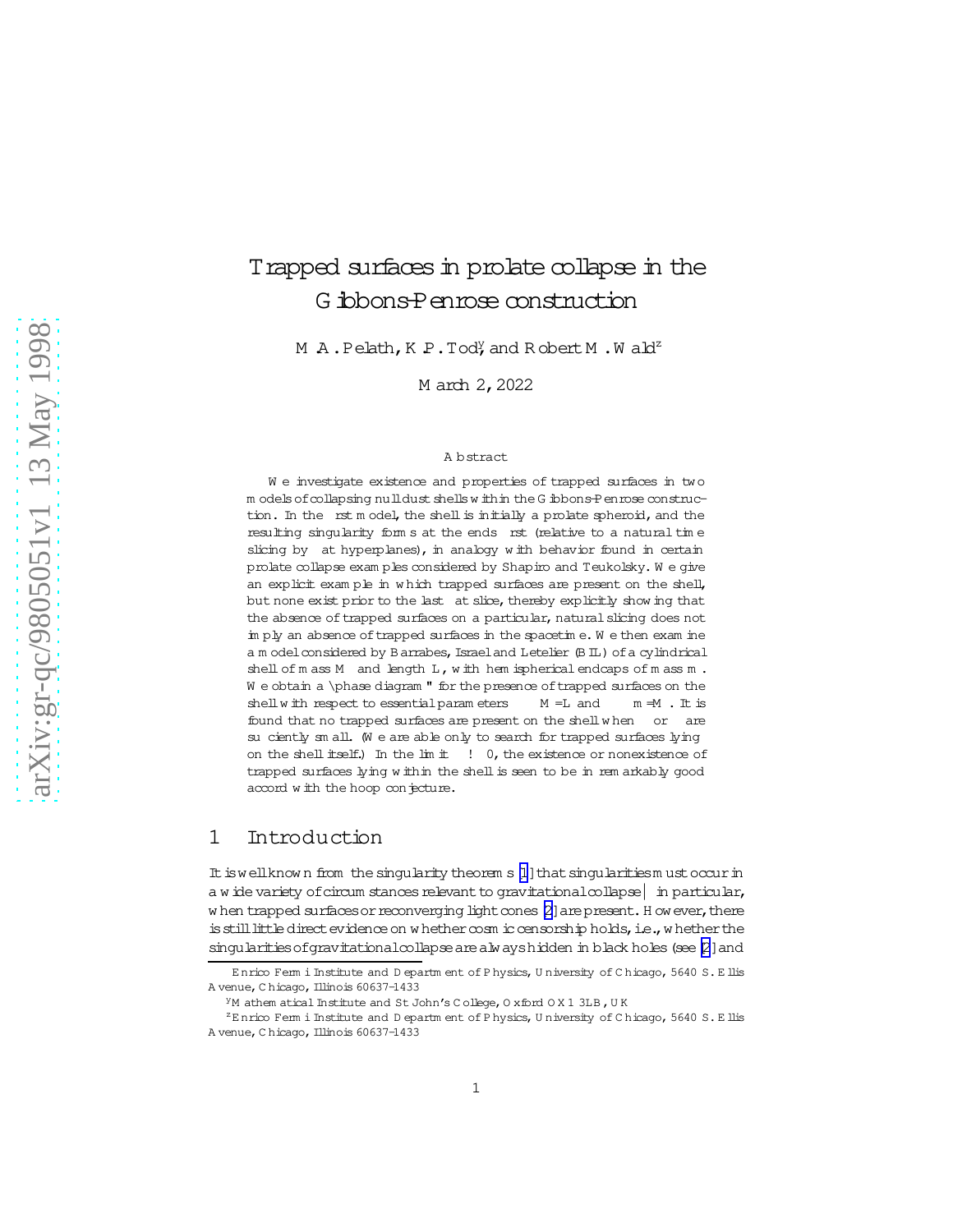# Trapped surfaces in prolate collapse in the G ibbons-Penroseconstruction

M  $A$ . Pelath, K P. Tody, and R obert M . W ald<sup>z</sup>

M arch 2, 2022

### A bstract

We investigate existence and properties of trapped surfaces in two m odels of collapsing nulldust shells w ithin the G ibbons-Penrose construction. In the rst m odel, the shell is initially a prolate spheroid, and the resulting singularity form s at the ends rst (relative to a natural time slicing by at hyperplanes), in analogy with behavior found in certain prolate collapse exam ples considered by Shapiro and Teukolsky. W e give an explicit exam ple in w hich trapped surfaces are present on the shell, but none exist prior to the last at slice, thereby explicitly show ing that the absence of trapped surfaces on a particular, natural slicing does not im ply an absence oftrapped surfaces in the spacetim e. W e then exam ine a m odel considered by B arrabes, Israel and Letelier (B IL) of a cylindrical shell of m ass M and length L, with hem ispherical endcaps of m ass m.  $W$  e obtain a \phase diagram " for the presence of trapped surfaces on the shell with respect to essential param eters  $M = L$  and  $m = M$ . It is found that no trapped surfaces are present on the shellw hen or are su ciently sm all. We are able only to search for trapped surfaces lying on the shell itself.) In the lim it  $\quad$  ! 0, the existence or nonexistence of trapped surfaces lying within the shell is seen to be in rem arkably good accord w ith the hoop conjecture.

## 1 Introduction

It is well known from the singularity theorem s [\[1](#page-20-0)] that singularitiesm ust occur in a w ide variety of circum stances relevant to gravitational collapse  $|$  in particular, w hen trapped surfaces or reconverging light cones [\[2\]](#page-20-0) are present. H ow ever, there is still little direct evidence on w hether  $\cos$ m ic censorship holds, i.e., w hether the singularities of gravitationalcollapse are alw ayshidden in black holes (see [\[2](#page-20-0)] and

Enrico Ferm i Institute and D epartm ent of P hysics, U niversity of C hicago, 5640 S. E llis A venue, C hicago, Illinois 60637-1433

<sup>&</sup>lt;sup>Y</sup>M athem atical Institute and St John's C ollege, O xford O X 1 3LB, U K

 $z_{\rm E}$  nrico Ferm i Institute and D epartm ent of P hysics, U niversity of C hicago, 5640 S. E llis A venue, C hicago, Illinois 60637-1433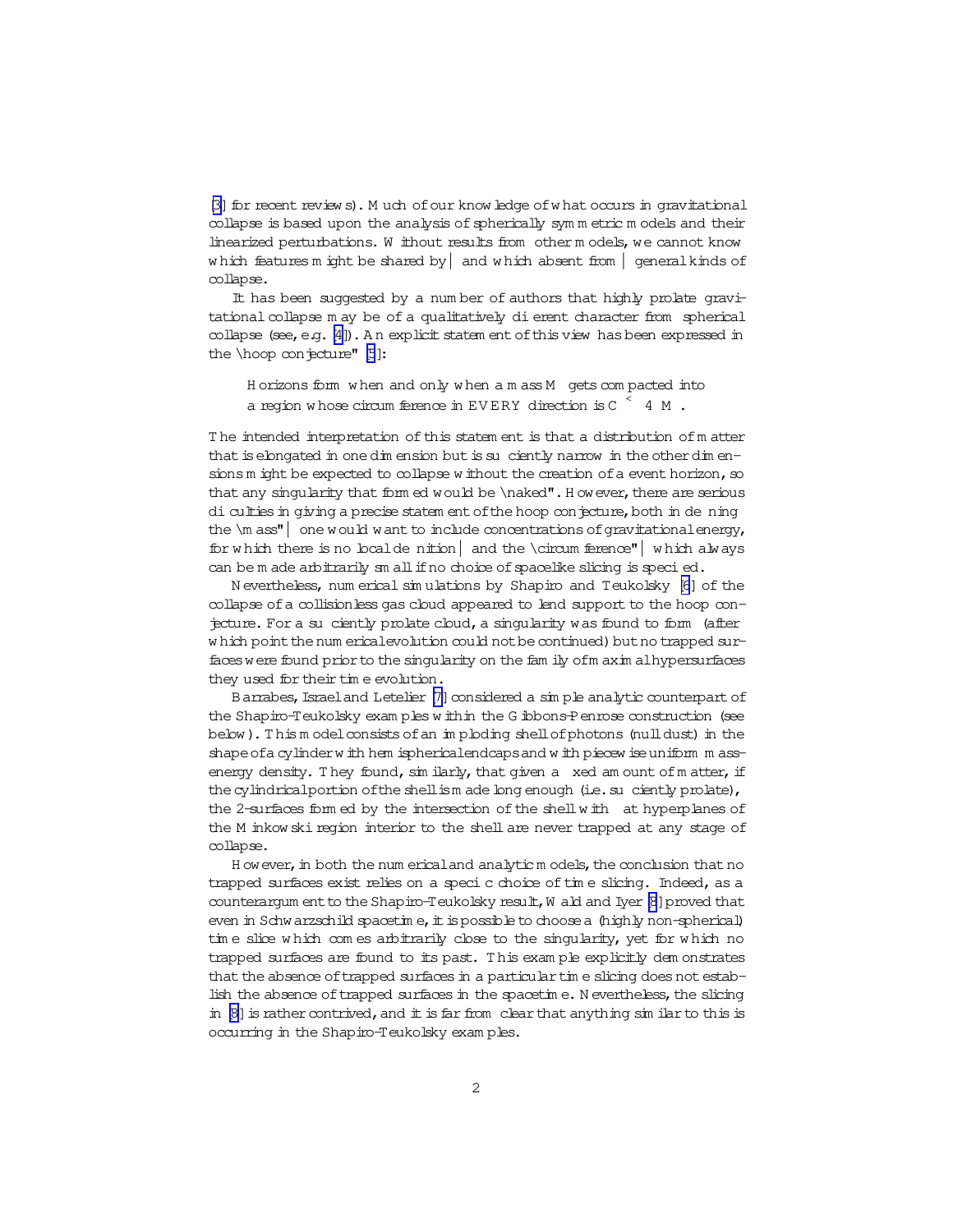[\[3\]](#page-20-0) for recent review s). M uch of our know ledge of what occurs in gravitational collapse is based upon the analysis of spherically symmetric models and their linearized perturbations. W ithout results from other models, we cannot know which features m ight be shared by  $|$  and which absent from  $|$  general kinds of collapse.

It has been suggested by a num ber of authors that highly prolate gravitational collapse m ay be of a qualitatively dierent character from spherical collapse (see, e.g. [\[4\]](#page-20-0)). An explicit statem ent of this view has been expressed in the  $\hbox{ho}$  conjecture" [\[5](#page-20-0)]:

H orizons form w hen and only w hen a m ass M gets compacted into a region whose circum ference in  $EVERY$  direction is  $C \begin{array}{c} 4 & M \end{array}$  .

The intended interpretation of this statem ent is that a distribution of matter that is elongated in one dim ension but is suciently narrow in the other dim ensions m ight be expected to collapse w ithout the creation of a event horizon, so that any singularity that form ed would be  $\n$ aked". H owever, there are serious di culties in giving a precise statem ent of the hoop conjecture, both in de ning the  $\mathcal{L}$  one would want to include concentrations of gravitational energy, for which there is no localde nition  $|$  and the \circum ference"  $|$  which always can be m ade arbitrarily sm all if no choice of spacelike slicing is specied.

N evertheless, num erical sim ulations by Shapiro and Teukolsky [\[6](#page-21-0)] of the collapse ofa collisionless gas cloud appeared to lend support to the hoop conjecture. For a su ciently prolate cloud, a singularity was found to form (after w hich point the num ericalevolution could not be continued) but no trapped surfaces were found prior to the singularity on the fam ily ofm axim alhypersurfaces they used for their time evolution.

Barrabes, Israeland Letelier [\[7\]](#page-21-0) considered a sim ple analytic counterpart of the Shapiro-Teukolsky exam ples w ithin the G ibbons-Penrose construction (see below). This m odel consists of an imploding shell of photons (null dust) in the shape of a cylinder w ith hem isphericalendcaps and w ith piecew ise uniform m assenergy density. They found,  $\sin$  ilarly, that given a xed am ount of m atter, if the cylindrical portion of the shell is m ade long enough (i.e. suciently prolate), the 2-surfaces form ed by the intersection of the shell with at hyperplanes of the M inkow ski region interior to the shell are never trapped at any stage of collapse.

H ow ever, in both the num erical and analytic m odels, the conclusion that no trapped surfaces exist relies on a specic choice oftim e slicing. Indeed, as a counterargum ent to the Shapiro-Teukolsky result, W ald and Iyer  $[8]$  $[8]$  proved that even in Schwarzschild spacetim e, it is possible to choose a (highly non-spherical) time slice which comes arbitrarily close to the singularity, yet for which no trapped surfaces are found to its past. T his exam ple explicitly dem onstrates that the absence of trapped surfaces in a particular time slicing does not establish the absence of trapped surfaces in the spacetime. N evertheless, the slicing in  $[8]$  is rather contrived, and it is far from clear that anything sim ilar to this is occurring in the Shapiro-Teukolsky exam ples.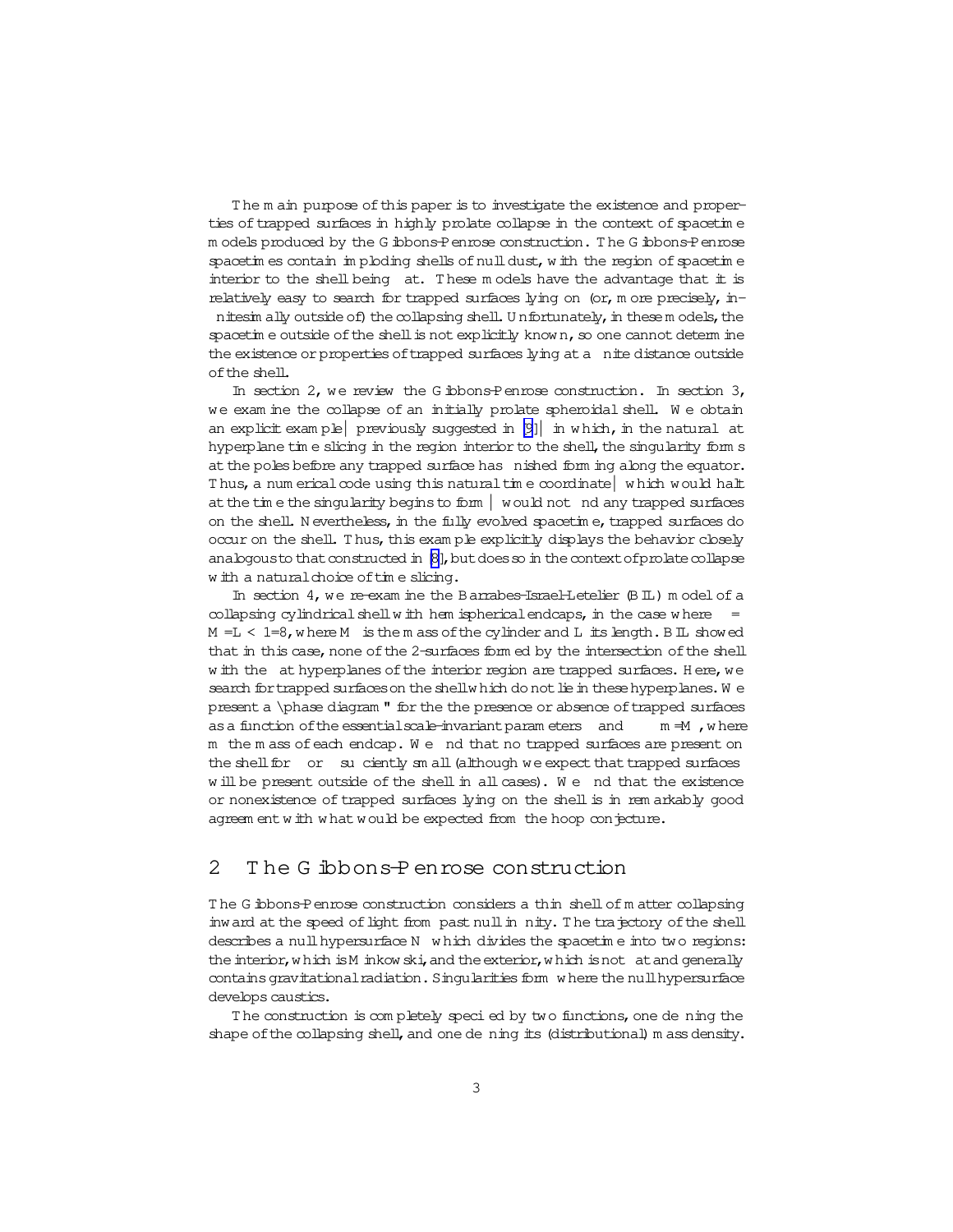The m ain purpose of this paper is to investigate the existence and properties of trapped surfaces in highly prolate collapse in the context of spacetime m odels produced by the G ibbons-Penrose construction. T he G ibbons-Penrose spacetim es contain im ploding shells of  $null$  dust, w ith the region of spacetime interior to the shell being at. These models have the advantage that it is relatively easy to search for trapped surfaces lying on (or, m ore precisely, innitesim ally outside of) the collapsing shell. Unfortunately, in thesem odels, the spacetim e outside of the shell is not explicitly known, so one cannot determ ine the existence or properties of trapped surfaces lying at a nite distance outside ofthe shell.

In section 2, we review the G ibbons-Penrose construction. In section 3, we exam ine the collapse of an initially prolate spheroidal shell. We obtain an explicit example previously suggested in  $[9]$  in which, in the natural at hyperplane tim e slicing in the region interior to the shell, the singularity form s at the poles before any trapped surface has nished form ing along the equator. Thus, a num erical code using this natural time coordinate which would halt at the time the singularity begins to form  $|$  would not nd any trapped surfaces on the shell. N evertheless, in the fully evolved spacetim e, trapped surfaces do occur on the shell. Thus, this exam ple explicitly displays the behavior closely analogous to that constructed in  $[8]$ , but does so in the context of prolate collapse w ith a natural choice of time slicing.

In section 4, we re-exam ine the Barrabes-Israel-Letelier (BIL) model of a collapsing cylindrical shell w ith hem ispherical endcaps, in the case w here  $=$  $M = L < 1=8$ , where M is the m ass of the cylinder and L its length. B IL showed that in this case, none of the 2-surfaces form ed by the intersection of the shell w ith the at hyperplanes of the interior region are trapped surfaces. Here, we search for trapped surfaces on the shellw hich do not lie in these hyperplanes. We present a \phase diagram " for the the presence or absence oftrapped surfaces as a function of the essential scale-invariant param eters and  $m \neq M$ , where m the m ass of each endcap. We nd that no trapped surfaces are present on the shell for or suciently sm all (although we expect that trapped surfaces w ill be present outside of the shell in allcases). W e nd that the existence or nonexistence of trapped surfaces lying on the shell is in rem arkably good agreem entw ith w hat would be expected from the hoop conjecture.

# 2 T he G ibbons-P enrose construction

T he G ibbons-Penrose construction considers a thin shellofm atter collapsing inw ard at the speed of light from past null in nity. The trajectory of the shell describes a null hypersurface N w hich divides the spacetime into two regions: the interior, w hich is M inkow ski, and the exterior, w hich is not at and generally contains gravitational radiation. Singularities form where the null hypersurface develops caustics.

The construction is completely specied by two functions, one de ning the shape of the collapsing shell, and one de ning its (distributional) m ass density.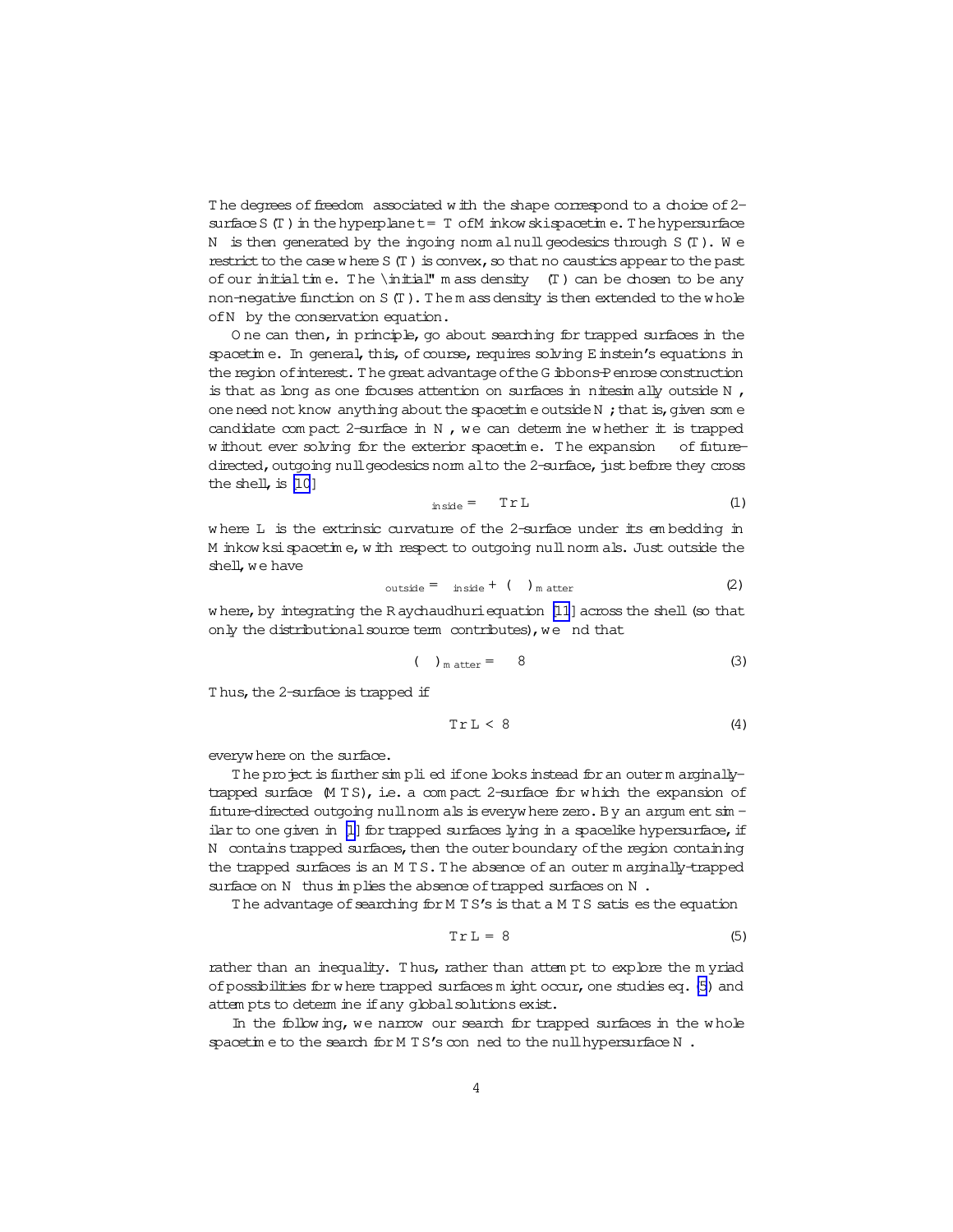<span id="page-3-0"></span>The degrees of freedom associated with the shape correspond to a choice of 2surface S (T) in the hyperplanet = T of M inkow skispacetime. The hypersurface N is then generated by the ingoing norm aloull geodesics through  $S(T)$ . We restrict to the case where  $S(T)$  is convex, so that no caustics appear to the past of our initial time. The  $\initial$ <sup>n</sup> m ass density (T) can be chosen to be any non-negative function on S (T). The m ass density is then extended to the whole of N by the conservation equation.

One can then, in principle, go about searching for trapped surfaces in the spacetime. In general, this, of course, requires solving E instein's equations in the region of interest. The great advantage of the G ibbons-P enrose construction is that as long as one focuses attention on surfaces in nitesimally outside  $N$ , one need not know anything about the spacetime outside N; that is, given some candidate compact 2-surface in  $N$ , we can determine whether it is trapped w ithout ever solving for the exterior spacetime. The expansion of futuredirected, outgoing null geodesics norm alto the 2-surface, just before they cross the shell, is  $[10]$ 

$$
in side = Tr L \tag{1}
$$

where L is the extrinsic curvature of the 2-surface under its embedding in M inkow ksi spacetime, with respect to outgoing null norm als. Just outside the shell, we have

$$
outside = inside + ()_{matter} \qquad (2)
$$

where, by integrating the Raychaudhuri equation [11] across the shell (so that only the distributional source term contributes), we nd that

$$
(\t)_{\text{matter}} = 8 \t\t(3)
$$

Thus, the 2-surface is trapped if

$$
Tr L < 8 \tag{4}
$$

everywhere on the surface.

The project is further simplied if one looks instead for an outer marginallytrapped surface M TS), i.e. a compact 2-surface for which the expansion of future-directed outgoing null norm als is everywhere zero. By an argum ent sim ilar to one given in [1] for trapped surfaces lying in a spacelike hypersurface, if N contains trapped surfaces, then the outer boundary of the region containing the trapped surfaces is an MTS. The absence of an outer m arginally-trapped surface on N thus in plies the absence of trapped surfaces on N.

The advantage of searching for M TS's is that a M TS satis es the equation

$$
Tr L = 8 \tag{5}
$$

rather than an inequality. Thus, rather than attempt to explore the myriad of possibilities for where trapped surfaces m ight occur, one studies eq. (5) and attem pts to determ ine if any global solutions exist.

In the following, we narrow our search for trapped surfaces in the whole spacetime to the search for M TS's conned to the null hypersurface N.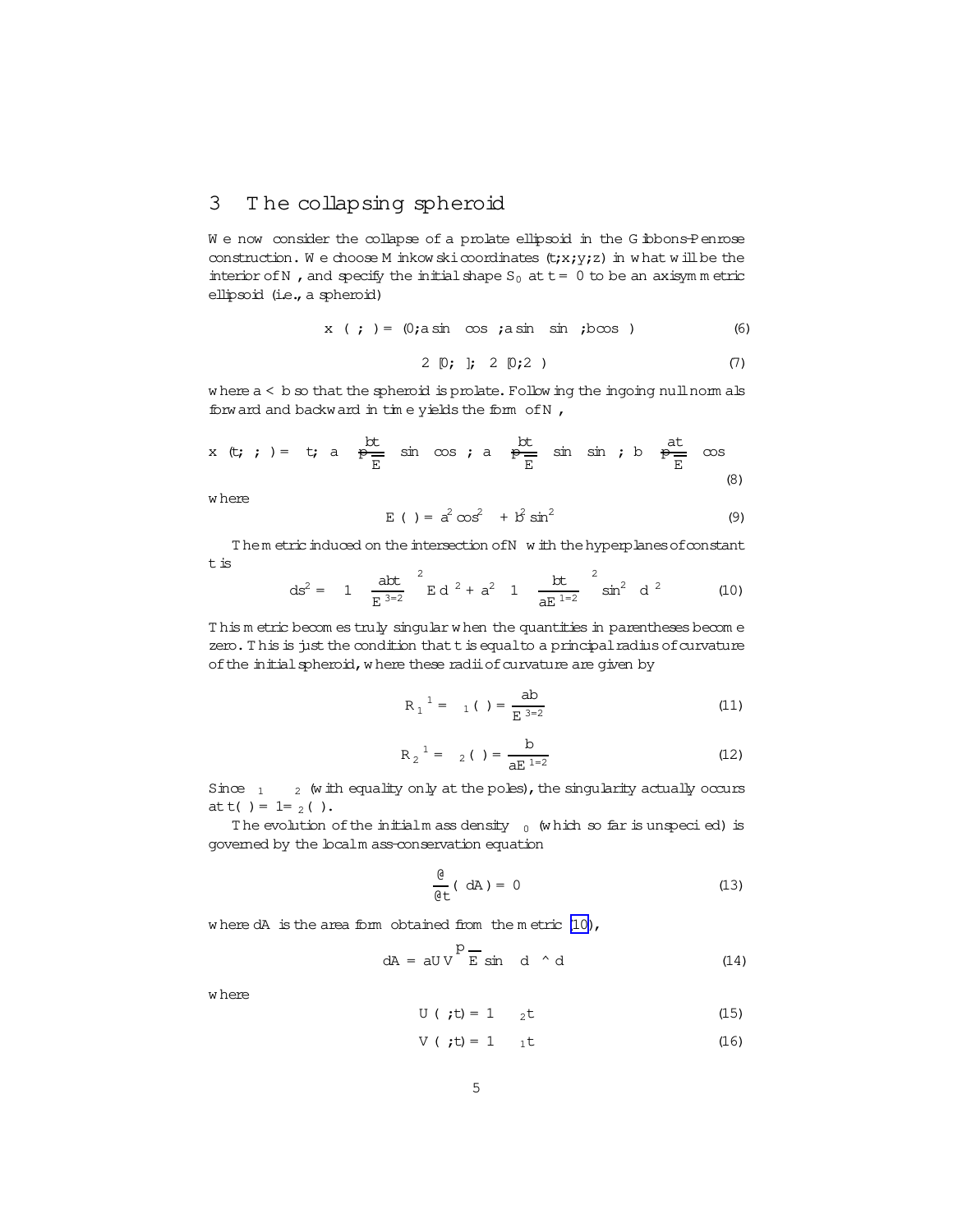#### <span id="page-4-0"></span>The collapsing spheroid 3

We now consider the collapse of a prolate ellipsoid in the G ibbons-Penrose construction. We choose M inkow ski coordinates  $(t; x; y; z)$  in what will be the interior of N, and specify the initial shape  $S_0$  at  $t = 0$  to be an axisymmetric ellipsoid (i.e., a spheroid)

$$
x \quad ; \quad ) = (0; \text{asin} \quad \cos \quad ; \text{asin} \quad \sin \quad ; \text{b} \cos \quad )
$$

$$
2 [0; ]; 2 [0;2) \tag{7}
$$

where  $a < b$  so that the spheroid is prolate. Following the ingoing null norm als forward and backward in time yields the form of N,

x (t; ; ) = t; a 
$$
\frac{bt}{E}
$$
 sin cos ; a  $\frac{bt}{E}$  sin sin ; b  $\frac{at}{E}$  cos  
(8)

w here

$$
E ( ) = a2 cos2 + b2 sin2
$$
 (9)

Them etric induced on the intersection of N w ith the hyperplanes of constant  $\tt t$  is  $\sim$  $\sim$ 

$$
ds^{2} = 1 \quad \frac{abt}{E^{3-2}}^{2} E d^{2} + a^{2} 1 \quad \frac{bt}{aE^{1-2}}^{2} \sin^{2} d^{2} \qquad (10)
$$

This metric becomes truly singular when the quantities in parentheses become zero. This is just the condition that t is equal to a principal radius of curvature of the initial spheroid, where these radii of curvature are given by

$$
R_1^1 = 1 \tbinom{}{}{}{}{}{}{}{}{}{}{}{}{}_{\mathcal{E}} \frac{ab}{E_3^3 = 2} \tbinom{}{}{}{}{}{}{}{}{}{}{}{}{}{}{}_{\mathcal{E}} \tbinom{}{}{}{}{}{}{}{}{}_{\mathcal{E}} \tbinom{}{}{}{}{}{}{}{}{}{}{}_{\mathcal{E}} \tbinom{}{}{}{}{}{}{}{}{}{}_{\mathcal{E}} \tbinom{}{}{}{}{}{}{}{}{}_{\mathcal{E}} \tbinom{}{}{}{}{}{}{}{}_{\mathcal{E}} \tbinom{}{}{}{}{}{}{}{}_{\mathcal{E}} \tbinom{}{}{}{}{}{}{}_{\mathcal{E}} \tbinom{}{}{}{}{}{}{}_{\mathcal{E}} \tbinom{}{}{}{}{}{}{}_{\mathcal{E}} \tbinom{}{}{}{}{}{}_{\mathcal{E}} \tbinom{}{}{}{}{}{}_{\mathcal{E}} \tbinom{}{}{}{}{}{}_{\mathcal{E}} \tbinom{}{}{}{}{}_{\mathcal{E}} \tbinom{}{}{}{}{}{}_{\mathcal{E}} \tbinom{}{}{}{}{}{}_{\mathcal{E}} \tbinom{}{}{}{}{}{}_{\mathcal{E}} \tbinom{}{}{}{}{}_{\mathcal{E}} \tbinom{}{}{}{}{}{}_{\mathcal{E}} \tbinom{}{}{}{}{}{}_{\mathcal{E}} \tbinom{}{}{}{}{}_{\mathcal{E}} \tbinom{}{}{}{}{}{}_{\mathcal{E}} \tbinom{}{}{}{}{}_{\mathcal{E}} \tbinom{}{}{}{}{}_{\mathcal{E}} \tbinom{}{}{}{}{}_{\mathcal{E}} \tbinom{}{}{}{}{}_{\mathcal{E}} \tbinom{}{}{}{}{}_{\mathcal{E}} \tbinom{}{}{}{}{}_{\mathcal{E}} \tbinom{}{}{}{}{}_{\mathcal{E}} \tbinom{}{}{}{}{}_{\mathcal{E}} \tbinom{}{}{}{}_{\mathcal{E}} \tbinom{}{}{}{}_{\mathcal{E}} \tbinom{}{}{}{}_{\mathcal{E}} \tbinom{}{}{}{}_{\mathcal{E}} \tbinom{}{}{}{}_{\mathcal{E}} \tbinom{}{}{}{}_{\mathcal{E}} \tbinom{}{}{}{}_{\mathcal{E}} \tbinom{}{}{}{}_{\mathcal{E}} \tbinom{}{}{}{}_{\mathcal{E}} \tbinom{}{}{}{}_{\mathcal{E}} \tbinom{}{}{}{}_{\mathcal{E}} \tbinom{}{}{}{}_{\mathcal{E}} \tbin
$$

$$
R_2^{-1} = \frac{b}{aE^{1=2}}
$$
 (12)

Since  $_1$   $_2$  (with equality only at the poles), the singularity actually occurs at t( ) =  $1 = 2$  ( ).

The evolution of the initial mass density  $_0$  (which so far is unspecied) is governed by the localm ass-conservation equation

$$
\frac{\mathbf{e}}{\mathbf{e}\mathbf{t}} \quad \text{(dA)} = 0 \tag{13}
$$

where  $dA$  is the area form obtained from the metric  $(10)$ ,

$$
dA = aUV \frac{P}{E} \sin d \wedge d \qquad (14)
$$

w here

$$
U ( ;t) = 1
$$
 2<sup>t</sup> (15)

$$
V ( ;t) = 1 \t 1 \t (16)
$$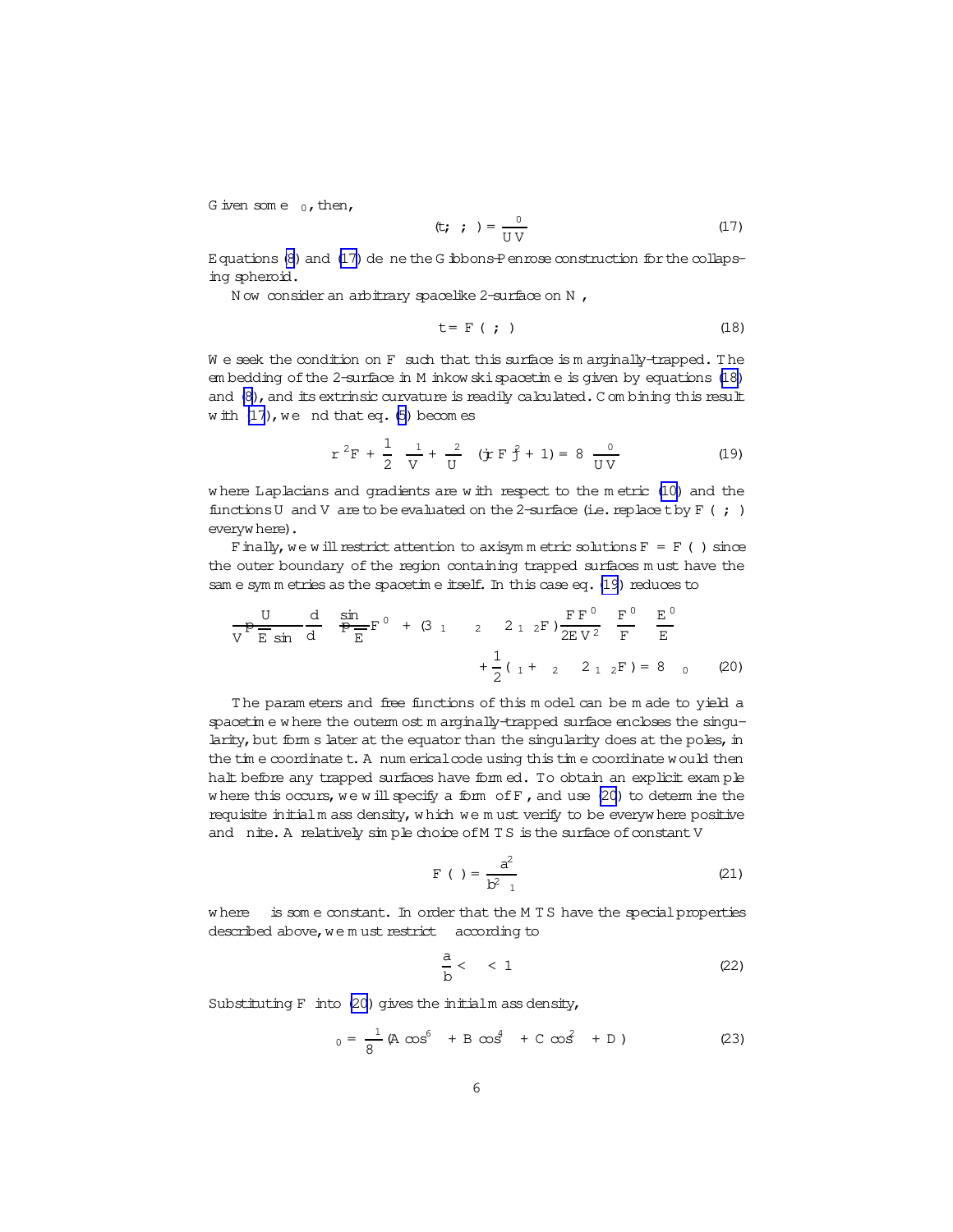<span id="page-5-0"></span>G iven some  $_0$ , then,

Equations (8) and (17) de ne the G ibbons-P enrose construction for the collapsing spheroid.

Now consider an arbitrary spacelike 2-surface on N,

$$
t = F \t{; \t(18)}
$$

We seek the condition on F such that this surface is marginally-trapped. The em bedding of the 2-surface in M inkow ski spacetime is given by equations (18) and (8), and its extrinsic curvature is readily calculated. Combining this result with  $(17)$ , we nd that eq. (5) becomes

$$
r^{2}F + \frac{1}{2} \frac{1}{V} + \frac{2}{U} \left( jr F \hat{f} + 1 \right) = 8 \frac{0}{UV}
$$
 (19)

where Laplacians and gradients are with respect to the metric (10) and the functions U and V are to be evaluated on the 2-surface (i.e. replace t by  $F$  (; ) everywhere).

Finally, we will restrict attention to axisym metric solutions  $F = F$  () since the outer boundary of the region containing trapped surfaces must have the sam e sym m etries as the spacetim e itself. In this case eq. (19) reduces to

$$
\frac{U}{V} = \frac{d}{E \sin \theta} \frac{\sin \theta}{\sin \theta} F^0 + (3 \frac{1}{12} \frac{2}{12} \frac{1}{12} F) \frac{F F^0}{2E V^2} = \frac{F^0}{F} \frac{F^0}{E} + \frac{1}{2} (1 + 2 \frac{2}{12} F) = 8 \quad (20)
$$

The parameters and free functions of this model can be made to yield a spacetine where the outerm ost marginally-trapped surface encloses the singularity, but fom s later at the equator than the singularity does at the poles, in the time coordinate t. A num erical code using this time coordinate would then halt before any trapped surfaces have form ed. To obtain an explicit example where this occurs, we will specify a form of  $F$ , and use (20) to determ ine the requisite initialm ass density, which we must verify to be everywhere positive and nite. A relatively simple choice of MTS is the surface of constant V

$$
F( ) = \frac{a^2}{b^2 - 1}
$$
 (21)

where is some constant. In order that the M TS have the special properties described above, we must restrict according to

$$
\frac{a}{b} < 1 \tag{22}
$$

Substituting F into (20) gives the initialm ass density,

$$
_{0} = \frac{1}{8} (A \cos^{6} + B \cos^{4} + C \cos^{2} + D)
$$
 (23)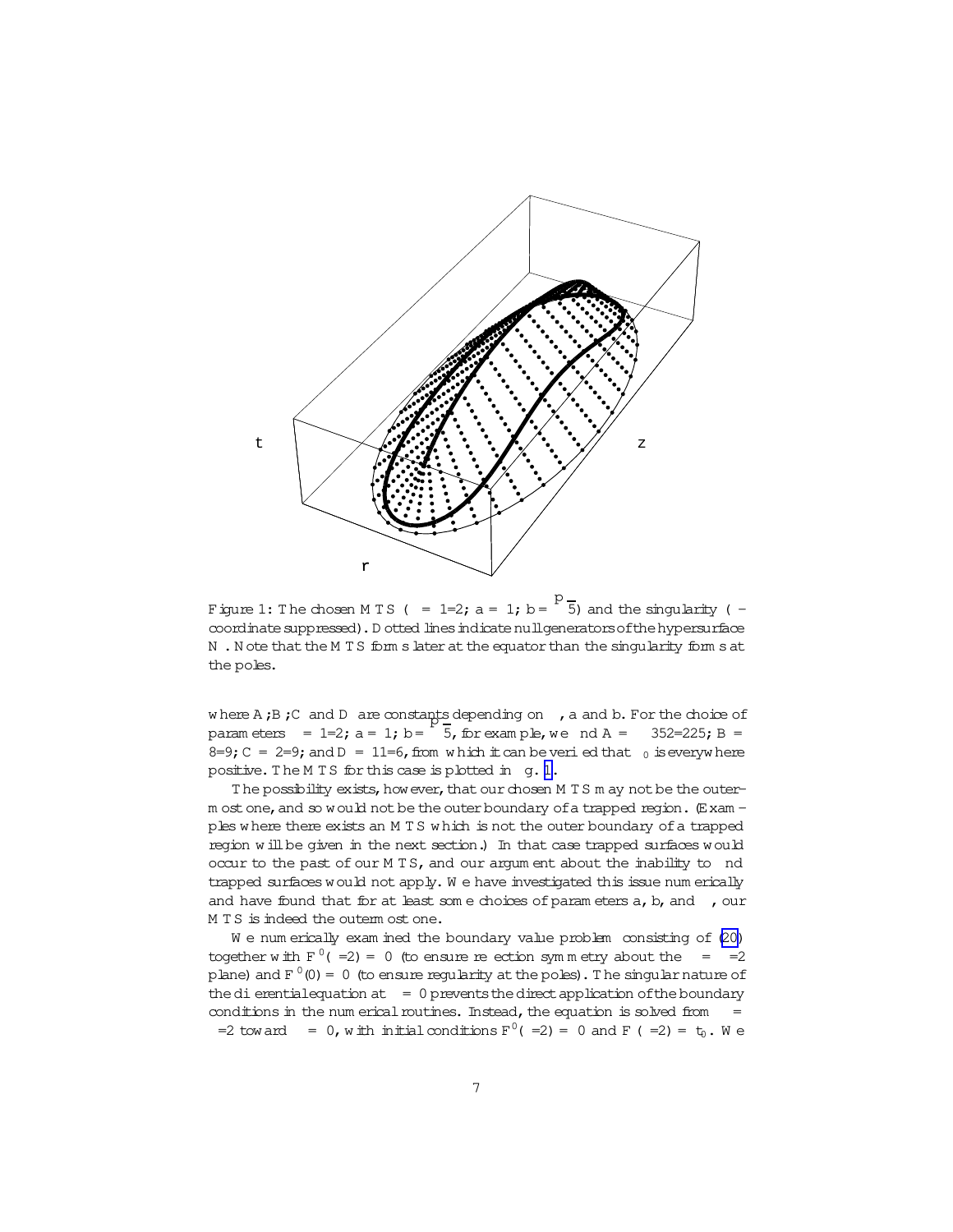

Figure 1: The chosen M T S ( =  $1=2; a = 1; b =$ 5) and the singularity ( $$ coordinatesuppressed).D otted linesindicatenullgeneratorsofthehypersurface N. N ote that the M T S form slater at the equator than the singularity form sat the poles.

where  $A$ ;  $B$ ;  $C$  and  $D$  are constants depending on , a and  $b$ . For the choice of param eters  $= 1=2; a = 1; b=$ p 5, for exam ple, we nd A =  $352=225$ ; B =  $8=9$ ; C = 2=9; and D = 11=6, from w hich it can be veri ed that  $_0$  is everyw here positive. The M T S for this case is plotted in q. 1.

The possibility exists, how ever, that our chosen M T S m ay not be the outerm ost one, and so would not be the outer boundary of a trapped region.  $(E \times am$ ples w here there exists an M T S w hich is not the outer boundary of a trapped region w ill be given in the next section.) In that case trapped surfaces would occur to the past of our M TS, and our argum ent about the inability to nd trapped surfaces would not apply. W e have investigated this issue num erically and have found that for at least some choices of parameters  $a, b, and$ , our M T S is indeed the outerm ost one.

W e num erically exam ined the boundary value problem consisting of [\(20\)](#page-5-0) together with  $F^0(-2) = 0$  (to ensure re ection symmetry about the  $=$  =2 plane) and  $F^0(0)=0$  (to ensure regularity at the poles). The singular nature of the dierential equation at  $= 0$  prevents the direct application of the boundary conditions in the num erical routines. Instead, the equation is solved from  $=$ =2 toward = 0, with initial conditions  $F^0$  (=2) = 0 and F (=2) =  $t_0$ . We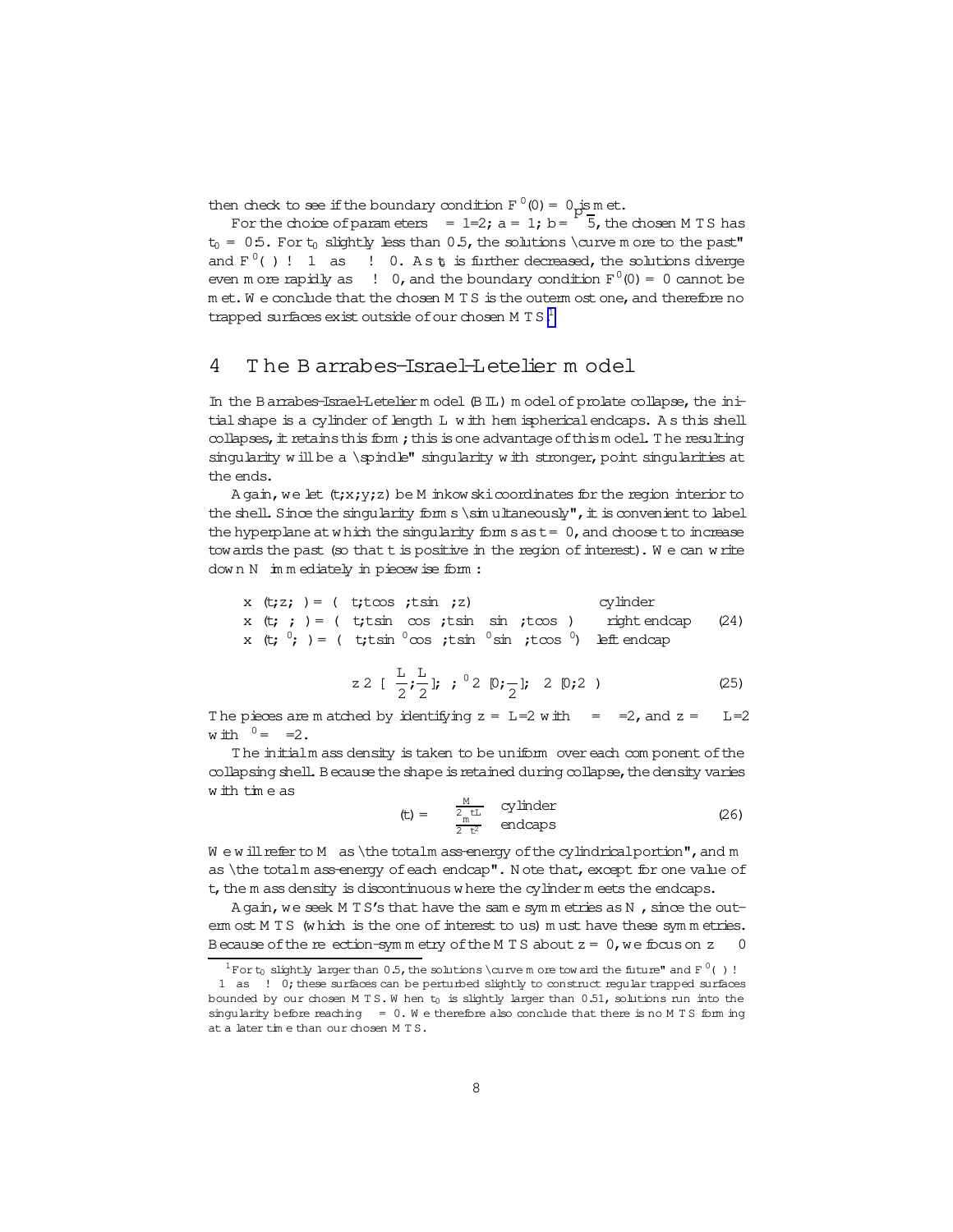then check to see if the boundary condition  $F^0(0) = 0$  is met.

For the choice of parameters =  $1=2$ ;  $a = 1$ ;  $b = \begin{bmatrix} 5 \\ 5 \end{bmatrix}$ , the chosen M TS has  $t_0 = 0.5$ . For  $t_0$  slightly less than 0.5, the solutions \curve m ore to the past" and  $F^0$ ()! 1 as ! 0. As t is further decreased, the solutions diverge even m ore rapidly as  $\;\; : \;\; 0$ , and the boundary condition  $F^0(0) = 0$  cannot be m et. We conclude that the chosen MTS is the outem ost one, and therefore no trapped surfaces exist outside of our chosen M T S.<sup>1</sup>

#### The Barrabes-Israel-Letelier model 4

In the Barrabes-IsraeHetelier m odel (B IL) m odel of prolate collapse, the initial shape is a cylinder of length L with hem ispherical endcaps. As this shell collapses, it retains this form; this is one advantage of this model. The resulting singularity will be a \spindle" singularity with stronger, point singularities at the ends.

Again, we let (t;x;y;z) be M inkow skicoordinates for the region interior to the shell. Since the singularity form  $s \sim u$  taneously", it is convenient to label the hyperplane at which the singularity form  $s$  as  $t = 0$ , and choose t to increase towards the past (so that t is positive in the region of interest). We can write down N immediately in piecewise form:

x (t;z; ) = ( t;toos ;tsin ;z)   
x (t; ; ) = ( t;tsin cos ;tsin sin ;tcos ) rightendcap (24)  
x (t; 
$$
^0
$$
; ) = ( t;tsin  $^0$ cos ;tsin  $^0$ sin ;tcos  $^0$ ) left endcap

$$
z \ 2 \ [\ \frac{L}{2}; \frac{L}{2}]; \ ; \ ^0 2 \ [0; \frac{1}{2}]; \ 2 \ [0; 2 \ )
$$
 (25)

The pieces are m atched by identifying  $z = L=2$  with = = 2, and  $z =$  $T = 2$ with  $0 = 2$ .

The initialm ass density is taken to be uniform over each component of the collapsing shell. Because the shape is retained during collapse, the density varies with time as

$$
\text{(t)} = \frac{\frac{M}{2 \text{ t L}}}{{\frac{m}{2 \text{ t2}}}} \quad \text{cylinder} \tag{26}
$$

Wewill refer to M as \the totalm assenergy of the cylindrical portion", and m as \the totalm assenergy of each endcap". Note that, except for one value of t, the m ass density is discontinuous where the cylinder meets the endcaps.

A gain, we seek M TS's that have the same symmetries as N, since the outerm ost MTS (which is the one of interest to us) must have these symmetries. Because of the reection-symmetry of the M TS about  $z = 0$ , we focus on z 0

<sup>&</sup>lt;sup>1</sup>For t<sub>0</sub> slightly larger than 0.5, the solutions \curve m ore tow ard the future" and F<sup>0</sup>()!

<sup>1</sup> as ! 0; these surfaces can be perturbed slightly to construct regular trapped surfaces bounded by our chosen MTS. W hen  $t_0$  is slightly larger than  $0.51$ , solutions run into the singularity before reaching  $= 0. W$  e therefore also conclude that there is no M T S form ing at a later time than our chosen MTS.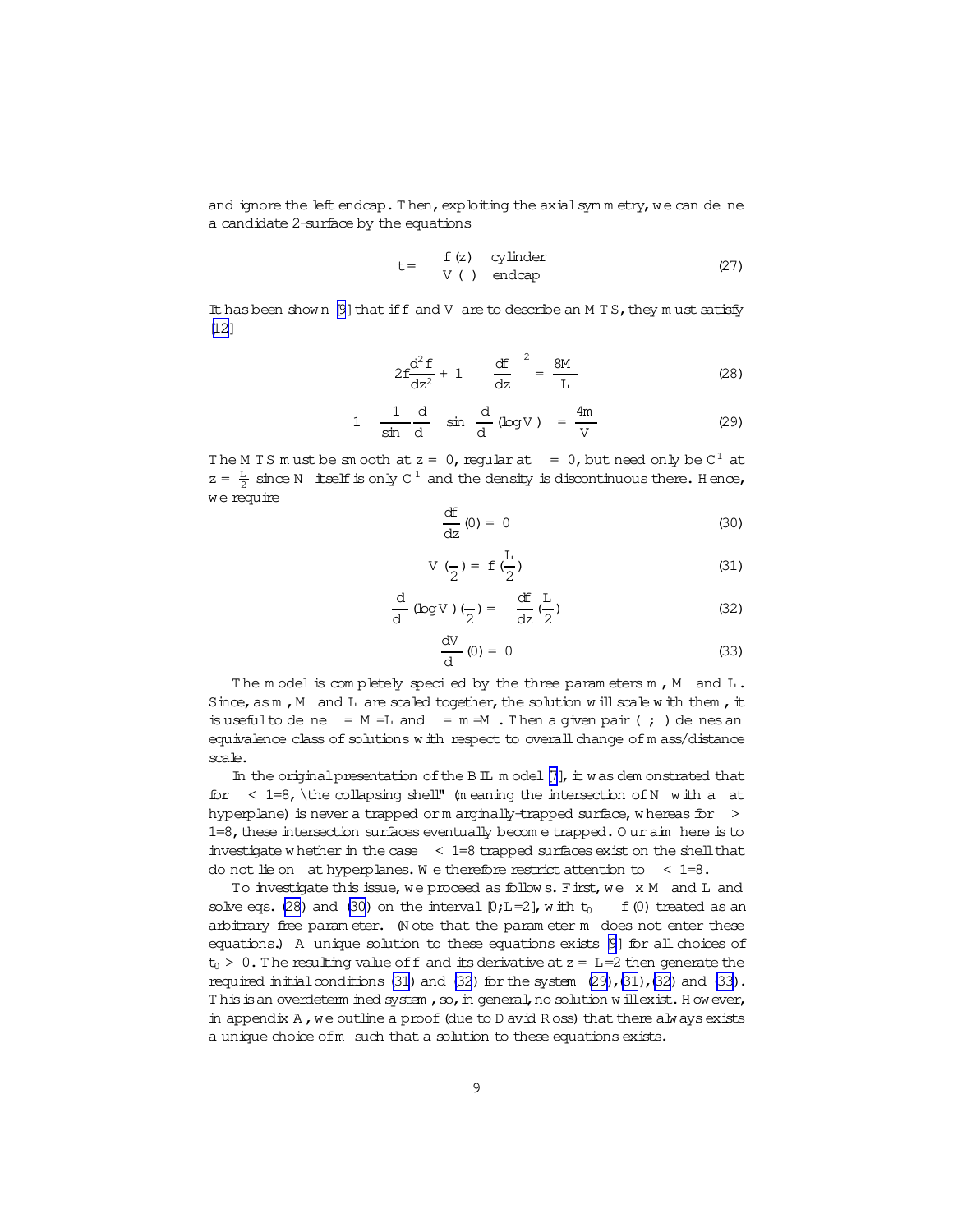<span id="page-8-0"></span>and ignore the left endcap. Then, exploiting the axial symmetry, we can de ne a candidate 2-surface by the equations

$$
t = \begin{array}{cc} f(z) & cylinder \\ V \ (\ ) & endcap \end{array} \tag{27}
$$

It has been show n [\[9](#page-21-0)] that if f and V are to describe an M T S, they m ust satisfy [\[12\]](#page-21-0)

$$
2f\frac{d^2 f}{dz^2} + 1 \qquad \frac{df}{dz}^2 = \frac{8M}{L} \tag{28}
$$

$$
1 \quad \frac{1}{\sin \frac{d}{d}} \quad \sin \frac{d}{d} (\log V) = \frac{4m}{V} \tag{29}
$$

The M TS must be smooth at  $z = 0$ , regular at  $= 0$ , but need only be  $C^1$  at  $z = \frac{L}{2}$  since N itself is only C<sup>1</sup> and the density is discontinuous there. Hence, we require

$$
\frac{dE}{dz}(0) = 0
$$
 (30)

$$
V\left(\frac{\ }{2}\right) = f\left(\frac{L}{2}\right) \tag{31}
$$

$$
\frac{d}{d} (\log V) \left( \frac{\ }{2} \right) = \frac{df}{dz} \left( \frac{L}{2} \right) \tag{32}
$$

$$
\frac{\mathrm{d}V}{\mathrm{d}}(0) = 0 \tag{33}
$$

The m odel is completely specied by the three parameters  $m$ ,  $M$  and  $L$ . Since, as  $m$ , M and L are scaled together, the solution will scale with them, it isuseful to de ne =  $M = L$  and =  $m = M$ . Then a given pair (; ) de nes an equivalence class of solutions w ith respect to overall change of m ass/distance scale.

In the original presentation of the BIL m odel  $[7]$  $[7]$ , it was dem onstrated that for  $\langle 1=8, \theta \rangle$  the collapsing shell" (meaning the intersection of N with a at hyperplane) is never a trapped or m arginally-trapped surface, whereas for  $\rightarrow$ 1=8, these intersection surfaces eventually becom e trapped. O ur aim here is to investigate w hether in the case  $\leq$  1=8 trapped surfaces exist on the shell that do not lie on at hyperplanes. We therefore restrict attention to  $\leq$  1=8.

To investigate this issue, we proceed as follows. First, we x M and L and solve eqs. (28) and (30) on the interval  $[0;L=2]$ , w ith  $t_0$  f(0) treated as an arbitrary free param eter. (N ote that the param eter m does not enter these equations.) A unique solution to these equations exists  $[9]$  for all choices of  $t_0$  > 0. The resulting value of f and its derivative at  $z = L=2$  then generate the required initial conditions  $(31)$  and  $(32)$  for the system  $(29)$ , $(31)$ , $(32)$  and  $(33)$ . This is an overdeterm ined system , so, in general, no solution w illexist. H owever, in appendix A, we outline a proof (due to D avid R oss) that there always exists a unique choice ofm such that a solution to these equations exists.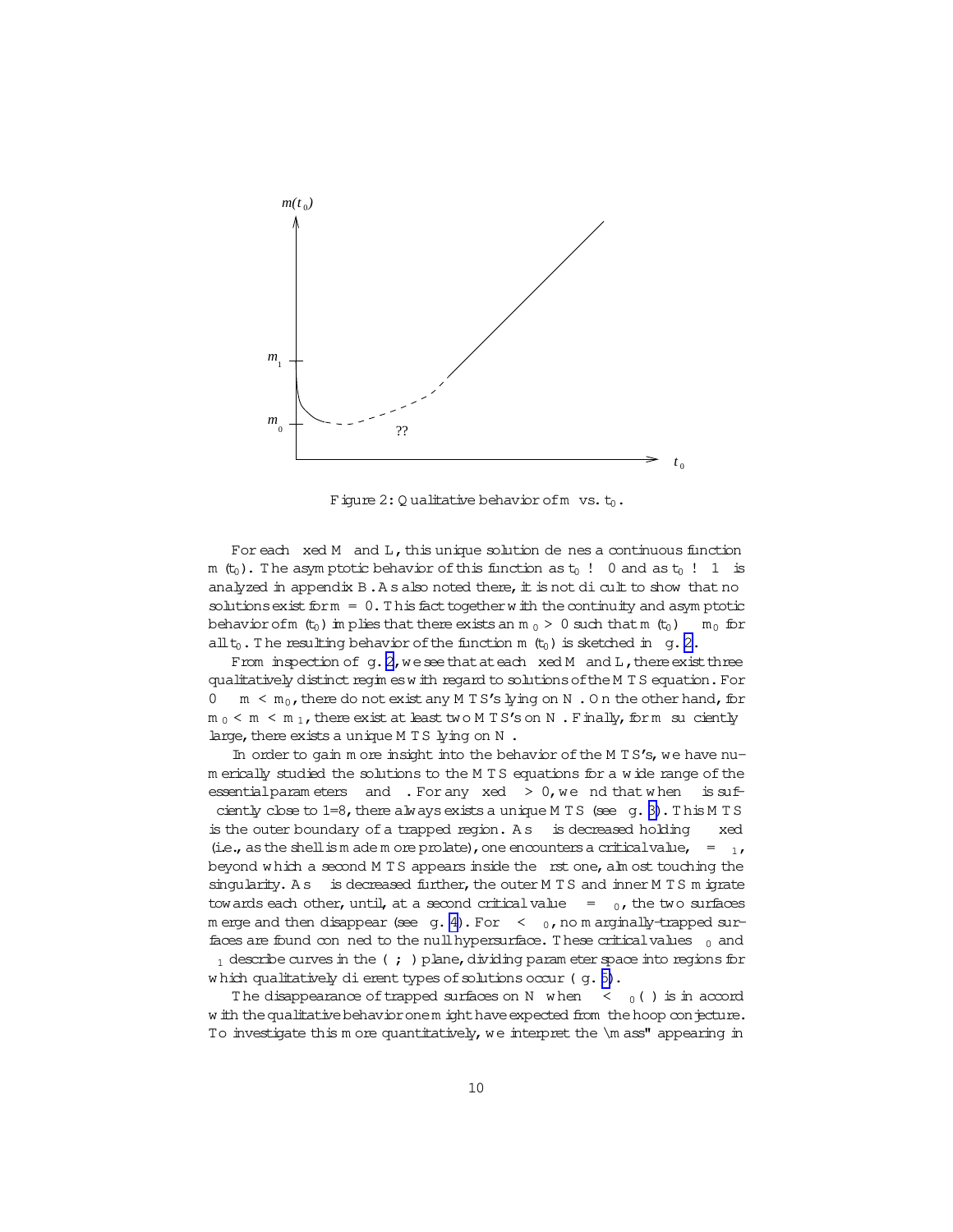<span id="page-9-0"></span>

Figure 2: Qualitative behavior of m vs.  $t_0$ .

For each xed M and L, this unique solution de nes a continuous function m (t<sub>0</sub>). The asymptotic behavior of this function as t<sub>0</sub> ! 0 and as t<sub>0</sub> ! 1 is analyzed in appendix  $B \cdot A s$  also noted there, it is not di cult to show that no solutions exist form =  $0.$  This fact together with the continuity and asymptotic behavior of m  $(t_0)$  implies that there exists an m  $_0 > 0$  such that m  $(t_0)$  $m_0$  for  $all t_0$ . The resulting behavior of the function m  $(t_0)$  is sketched in g. 2.

From inspection of  $q$ ,  $2$ , we see that at each  $x \in M$  and  $L$ , there exist three qualitatively distinct regim esw ith regard to solutions of the MTS equation. For  $\Omega$  $m < m_0$ , there do not exist any M TS's lying on N. On the other hand, for  $m_0$  <  $m_1$ , there exist at least two M TS's on N. Finally, for  $m_1$  su ciently large, there exists a unique MTS lying on N.

In order to gain more insight into the behavior of the M TS's, we have num erically studied the solutions to the M TS equations for a wide range of the essential parameters and . For any xed  $> 0$ , we nd that when is sufciently close to  $1=8$ , there always exists a unique MTS (see  $g. 3$ ). This MTS is the outer boundary of a trapped region. As is decreased holding xed (i.e., as the shell is m ade m ore prolate), one encounters a critical value,  $=$  1, beyond which a second MTS appears inside the rst one, alm ost touching the singularity. As is decreased further, the outer M TS and inner M TS m igrate towards each other, until, at a second critical value  $=$  0, the two surfaces m erge and then disappear (see  $g. 4$ ). For  $\leq$  0, no m arginally-trapped surfaces are found con ned to the null hypersurface. These critical values  $_0$  and  $_1$  describe curves in the (; ) plane, dividing parameter space into regions for which qualitatively di erent types of solutions occur (q. 5).

The disappearance of trapped surfaces on N when  $\langle \, \cdot \, \rangle$  is in accord w ith the qualitative behavior onem ight have expected from the hoop conjecture. To investigate this m ore quantitatively, we interpret the \m ass" appearing in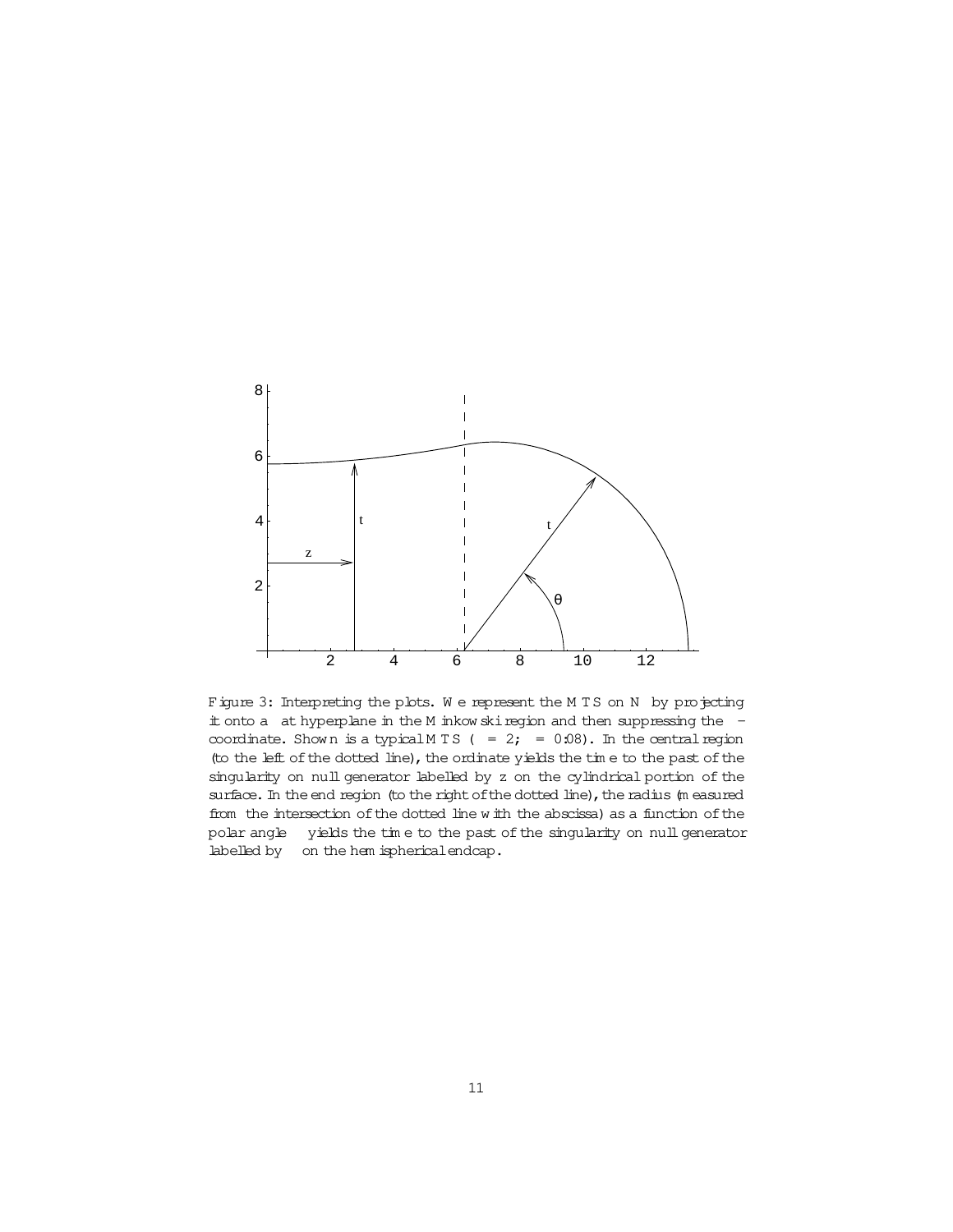<span id="page-10-0"></span>

Figure 3: Interpreting the plots. We represent the MTS on N by projecting it onto a at hyperplane in the M inkow skiregion and then suppressing the coordinate. Shown is a typical M T S ( = 2; = 0.08). In the central region (to the left of the dotted line), the ordinate yields the time to the past of the singularity on null generator labelled by z on the cylindrical portion of the surface. In the end region (to the right of the dotted line), the radius (m easured from the intersection of the dotted line w ith the abscissa) as a function of the polar angle yields the tim e to the past of the singularity on nullgenerator labelled by on the hem ispherical endcap.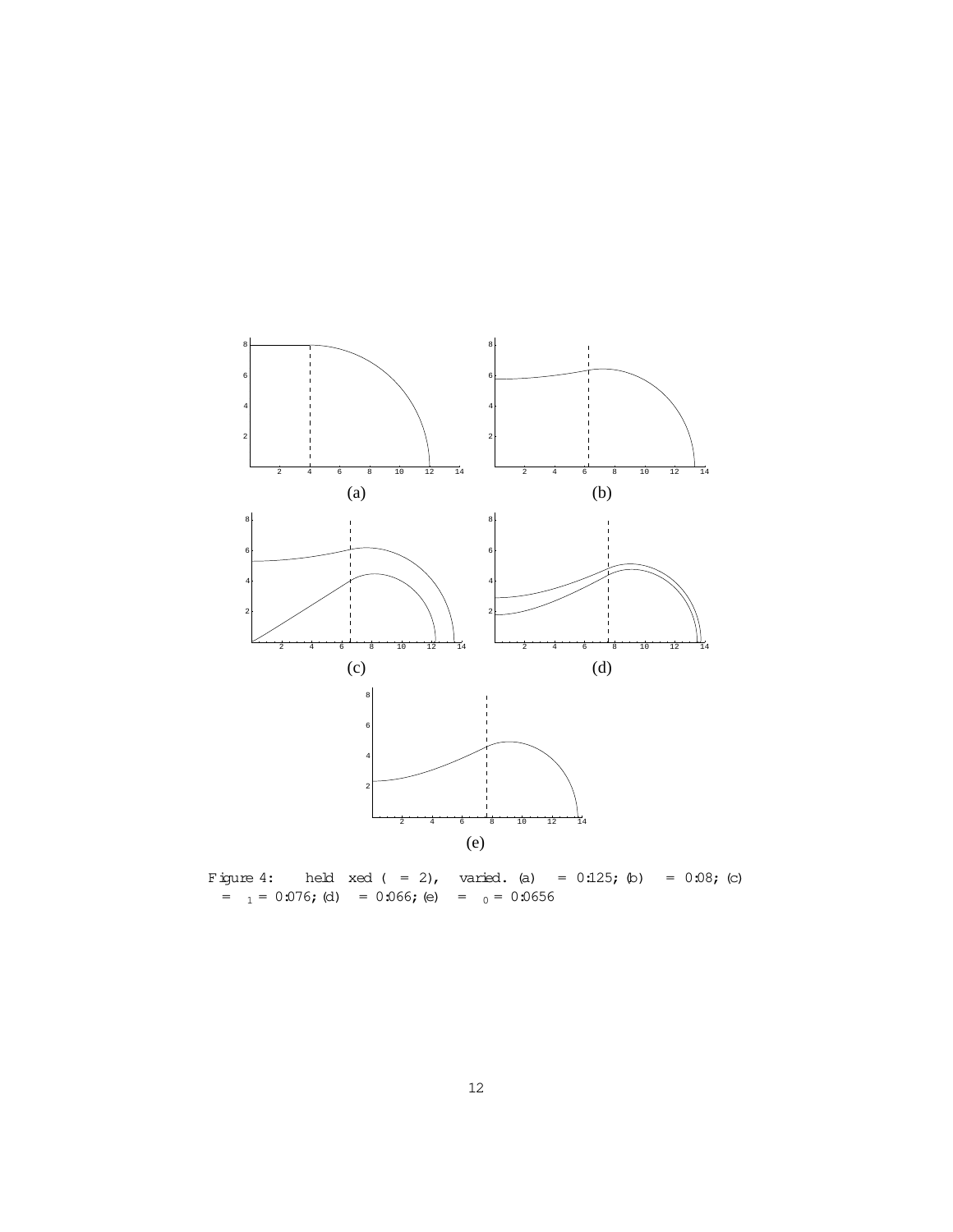<span id="page-11-0"></span>

Figure 4: held  $x \in d$  ( = 2), varied. (a) =  $0:125;$  (b) =  $0:08;$  (c)  $= 1 = 0.076$ ; (d)  $= 0.066$ ; (e)  $= 0 = 0.0656$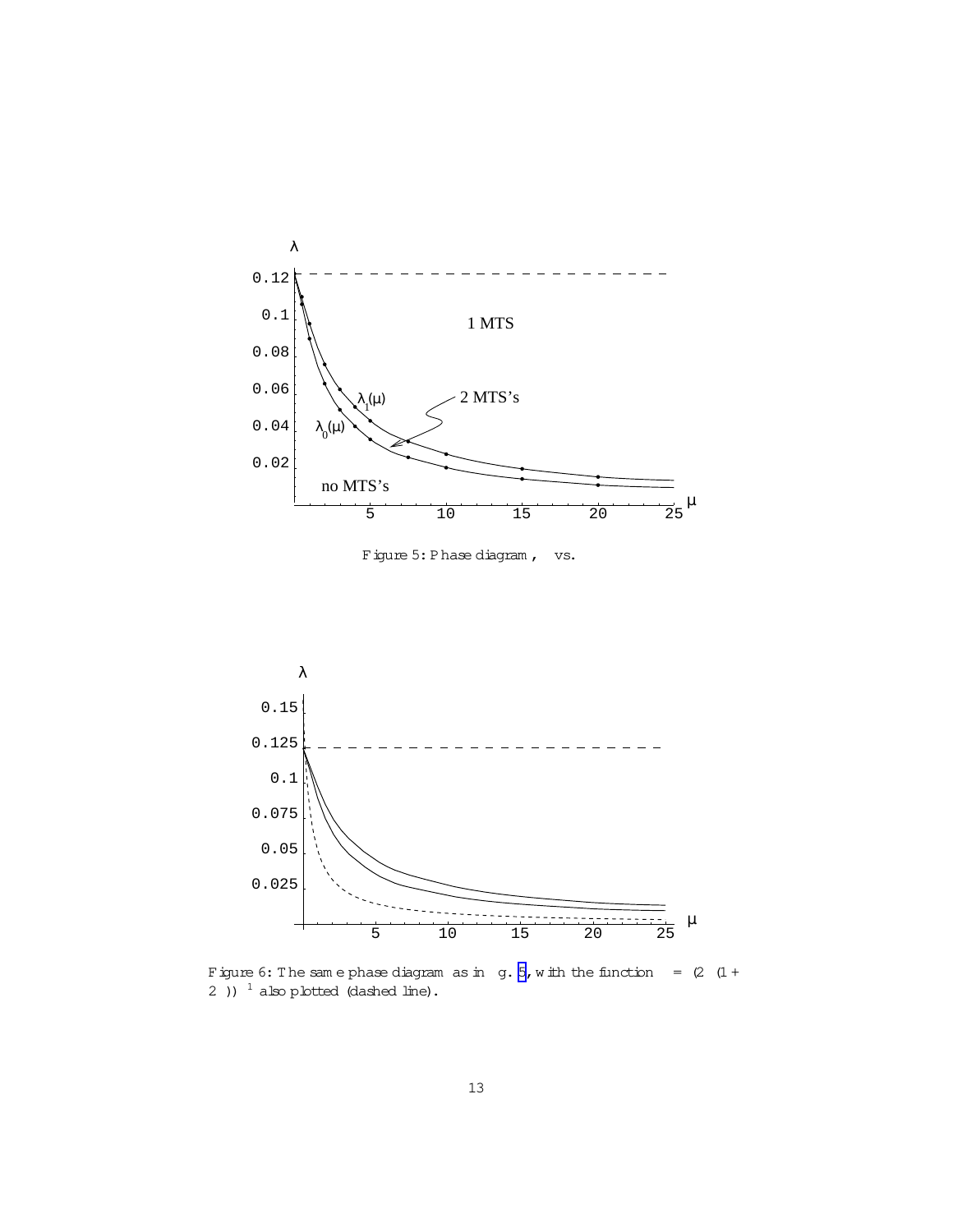<span id="page-12-0"></span>

Figure 5: Phase diagram, vs.



Figure 6: The same phase diagram as in  $g. 5$ , with the function =  $(2)(1 +$ 2 ))  $1$  also plotted (dashed line).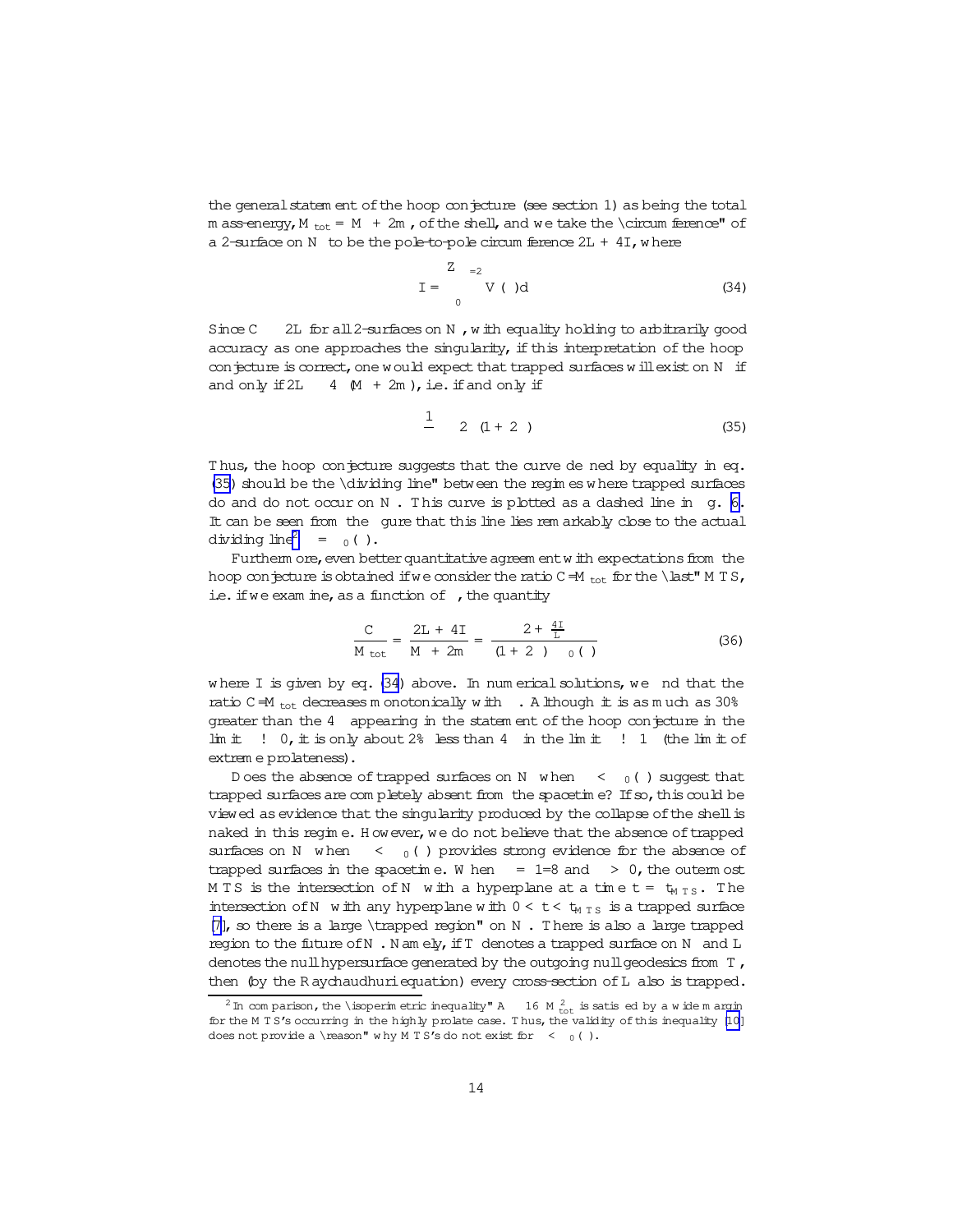the general statem ent of the hoop conjecture (see section 1) as being the total m ass-energy, M  $_{\text{tot}}$  = M + 2m, of the shell, and we take the \circum ference" of a 2-surface on N to be the pole-to-pole circum ference  $2L + 4I$ , where

$$
I = \begin{cases} Z & = 2 \\ V & \text{old} \end{cases} \tag{34}
$$

 $Since C$ 2L for all 2-surfaces on N, with equality holding to arbitrarily good accuracy as one approaches the singularity, if this interpretation of the hoop conjecture is correct, one would expect that trapped surfaces will exist on N if and only if 2L  $4 \times 4 \times 2m$ , i.e. if and only if

$$
\frac{1}{2} \quad 2 \quad (1+2) \tag{35}
$$

Thus, the hoop conjecture suggests that the curve de ned by equality in eq. (35) should be the \dividing line" between the regimes where trapped surfaces do and do not occur on N. This curve is plotted as a dashed line in g. 6. It can be seen from the gure that this line lies rem arkably close to the actual dividing  $line<sup>2</sup> = 0()$ .

Furtherm ore, even better quantitative agreem ent with expectations from the hoop conjecture is obtained if we consider the ratio C $-M$ <sub>tot</sub> for the \last" M T S, ie. if we exam ine, as a function of, the quantity

$$
\frac{C}{M_{\text{tot}}} = \frac{2L + 4I}{M + 2m} = \frac{2 + \frac{4I}{L}}{(1 + 2)_{0}} \tag{36}
$$

where  $I$  is given by eq. (34) above. In num erical solutions, we nd that the ratio  $C = M_{tot}$  decreases m onotonically with . A lihough it is as much as 30% greater than the 4 appearing in the statement of the hoop conjecture in the  $\lim$  in it  $\lim$  is only about 2% less than 4 in the limit  $\lim$  in (the limit of extrem e prolateness).

trapped surfaces are completely absent from the spacetime? If so, this could be viewed as evidence that the singularity produced by the collapse of the shell is naked in this regime. However, we do not believe that the absence of trapped surfaces on N when  $\langle$  0 () provides strong evidence for the absence of trapped surfaces in the spacetime. When  $= 1=8$  and  $> 0$ , the outem ost MTS is the intersection of N with a hyperplane at a time  $t = t_{MTS}$ . The intersection of N with any hyperplane with  $0 < t < t_{MTS}$  is a trapped surface  $[7]$ , so there is a large \trapped region" on N. There is also a large trapped region to the future of N. Namely, if T denotes a trapped surface on N and L denotes the null hypersurface generated by the outgoing null geodesics from  $T$ , then (by the Raychaudhuri equation) every cross-section of L also is trapped.

<sup>&</sup>lt;sup>2</sup> In comparison, the \isoperimetric inequality" A 16 M  $_{\text{tot}}^2$  is satis ed by a wide m argin for the M TS's occurring in the highly prolate case. Thus, the validity of this inequality [10] does not provide a \reason" why M T S's do not exist for  $\leq$  0().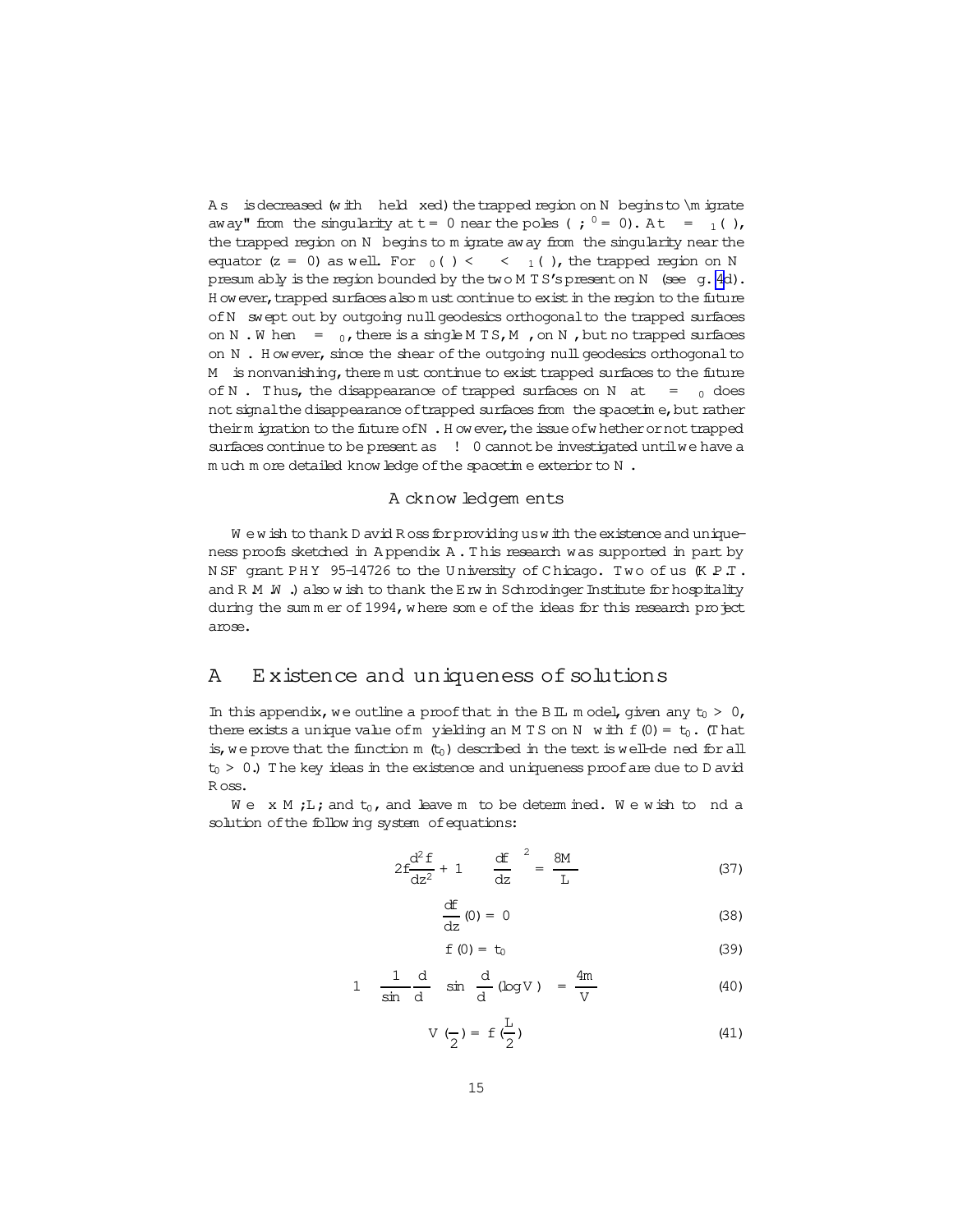<span id="page-14-0"></span>As is decreased (with held xed) the trapped region on N begins to \m igrate away" from the singularity at  $t = 0$  near the poles (;  $0 = 0$ ). At =  $_1($  ), the trapped region on N begins to m igrate away from the singularity near the equator  $(z = 0)$  as well. For  $_0( ) < 3$ ,  $_1( )$ , the trapped region on N presum ably is the region bounded by the two M TS's present on N (see q.4d). H ow ever, trapped surfaces also m ust continue to exist in the region to the future of N swept out by outgoing null geodesics orthogonal to the trapped surfaces on N.W hen =  $_0$ , there is a single MTS, M, on N, but no trapped surfaces on N. However, since the shear of the outgoing null geodesics orthogonal to M is nonvanishing, there m ust continue to exist trapped surfaces to the future of N. Thus, the disappearance of trapped surfaces on N at  $=$  0 does not signal the disappearance of trapped surfaces from the spacetime, but rather theirm igration to the future of N . How ever, the issue of whether or not trapped surfaces continue to be present as ! 0 cannot be investigated until we have a much more detailed know ledge of the spacetime exterior to N.

### A cknow ledgem ents

We wish to thank D avid Ross for providing us with the existence and uniqueness proofs sketched in Appendix A. This research was supported in part by NSF grant PHY 95-14726 to the University of Chicago. Two of us (KPT. and R  $M$   $\dot{M}$  .) also wish to thank the E rw in Schrodinger Institute for hospitality during the sum m er of 1994, where some of the ideas for this research project amse.

#### Existence and uniqueness of solutions Α

In this appendix, we outline a proof that in the B IL m odel, given any  $t_0 > 0$ , there exists a unique value of m yielding an MTS on N with  $f(0) = t_0$ . (That is, we prove that the function  $m$  ( $t_0$ ) described in the text is well-de ned for all  $t_0$  > 0.) The key ideas in the existence and uniqueness proof are due to D avid Ross.

 $W e$  x M ; L; and  $t_0$ , and leave m to be determined. We wish to nd a solution of the following system of equations:

$$
2f\frac{d^2 f}{dz^2} + 1 \qquad \frac{df}{dz}^2 = \frac{8M}{L} \tag{37}
$$

$$
\frac{dE}{dz}(0) = 0 \tag{38}
$$

$$
f(0) = t_0 \tag{39}
$$

$$
1 \quad \frac{1}{\sin \frac{d}{d}} \quad \sin \frac{d}{d} (\log V) = \frac{4m}{V} \tag{40}
$$

$$
V\left(\frac{\ }{2}\right) = f\left(\frac{L}{2}\right) \tag{41}
$$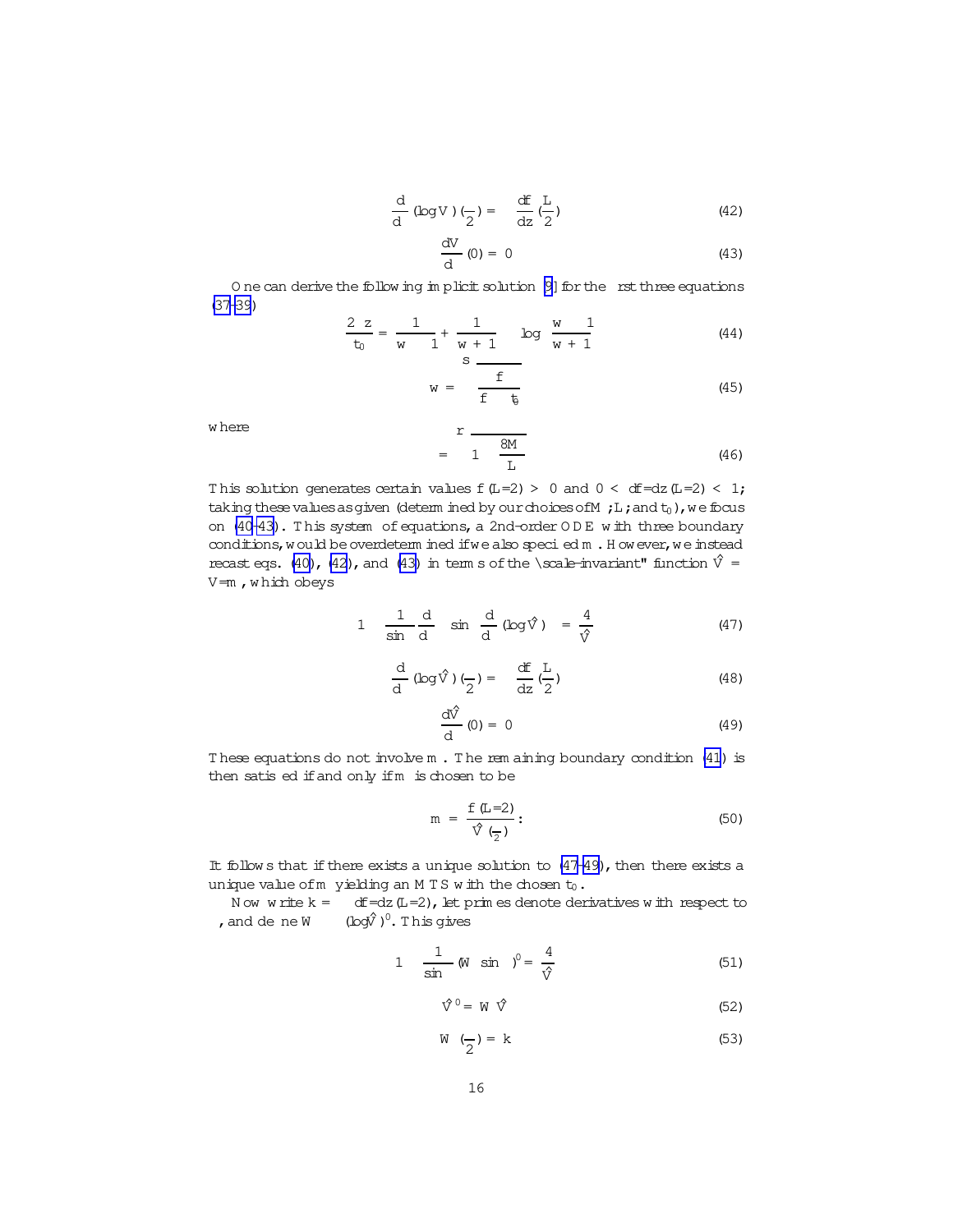$$
\frac{d}{d} (\log V) \left( \frac{\pi}{2} \right) = \frac{df}{dz} \left( \frac{L}{2} \right) \tag{42}
$$

$$
\frac{\mathrm{d}V}{\mathrm{d}}(0) = 0 \tag{43}
$$

<span id="page-15-0"></span>One can derive the following implicit solution [9] for the rst three equations  $(37 - 39)$ 

$$
\frac{2 z}{t_0} = \frac{1}{w} + \frac{1}{w+1} \quad \text{log} \quad \frac{w}{w+1} \tag{44}
$$

$$
w = \frac{f}{f - t_0} \tag{45}
$$

where

$$
r = \frac{8M}{1 - \frac{8M}{L}}
$$
 (46)

This solution generates certain values  $f(L=2) > 0$  and  $0 < df=dz(L=2) < 1$ ; taking these values as given (determined by our choices of  $M$ ; L; and  $t_0$ ), we focus on (40-43). This system of equations, a 2nd-order ODE with three boundary conditions, would be overdetermined if we also specied m . However, we instead recast eqs. (40), (42), and (43) in term s of the \scale-invariant" function  $\hat{V}$  =  $V = m$ , which obeys

$$
1 \quad \frac{1}{\sin \frac{d}{d}} \quad \sin \frac{d}{d} (\log \hat{V}) = \frac{4}{\hat{V}}
$$
 (47)

$$
\frac{d}{d} (\log \hat{V})\left(\frac{\pi}{2}\right) = \frac{dF}{dz} \left(\frac{L}{2}\right) \tag{48}
$$

$$
\frac{\mathrm{d}\hat{V}}{\mathrm{d}}(0) = 0 \tag{49}
$$

These equations do not involve m. The rem aining boundary condition (41) is then satis ed if and only if m is chosen to be

$$
m = \frac{f(L=2)}{\hat{V}(\frac{1}{2})}:
$$
\n(50)

It follows that if there exists a unique solution to  $(47-49)$ , then there exists a unique value of m yielding an MTS with the chosen  $t_0$ .

Now write  $k = dF = dz (L = 2)$ , let prim es denote derivatives with respect to , and de ne W  $(\log \hat{V})^0$ . This gives

1 
$$
\frac{1}{\sin} (N \sin)^0 = \frac{4}{\sqrt{2}}
$$
 (51)

$$
\hat{\nabla}^0 = W \hat{\nabla}
$$
 (52)

$$
W\left(\frac{\cdot}{2}\right) = k\tag{53}
$$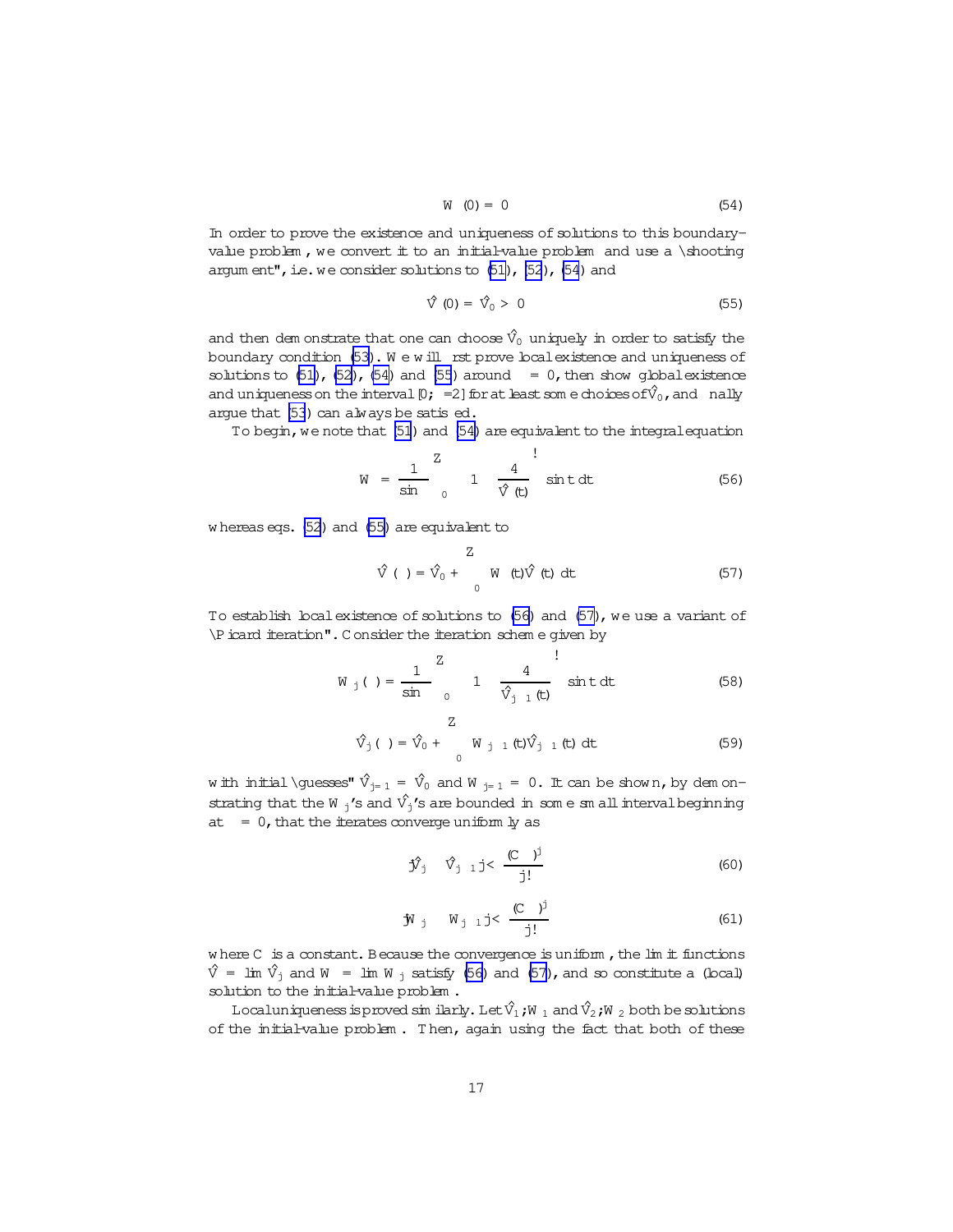$$
W(0) = 0 \tag{54}
$$

<span id="page-16-0"></span>In order to prove the existence and uniqueness of solutions to this boundaryvalue problem, we convert it to an initial-value problem and use a \shooting argum ent", i.e. we consider solutions to  $(51)$ ,  $(52)$  $(52)$ ,  $(54)$  and

$$
\hat{\nabla}(0) = \hat{\nabla}_0 > 0 \tag{55}
$$

and then dem onstrate that one can choose  $\hat{V}_0$  uniquely in order to satisfy the boundary condition [\(53\)](#page-15-0). We will rst prove boal existence and uniqueness of solutions to  $(51)$ ,  $(52)$ ,  $(54)$  and  $(55)$  around = 0, then show global existence and uniqueness on the interval  $[0; =2]$  for at least som e choices of  $\hat{V}_0$ , and nally argue that  $(53)$  can always be satis ed.

To begin, we note that [\(51](#page-15-0)) and (54) are equivalent to the integral equation

$$
W = \frac{1}{\sin} \int_{0}^{Z} 1 \frac{4}{\hat{V}(t)} \sin t \, dt
$$
 (56)

w hereaseqs. [\(52](#page-15-0)) and (55) are equivalent to

$$
\hat{\mathbf{V}}(\cdot) = \hat{\mathbf{V}}_0 + \begin{array}{c} Z \\ W \\ W \end{array} \text{ (t) } \hat{\mathbf{V}} \text{ (t) } dt \tag{57}
$$

To establish local existence of solutions to (56) and (57), we use a variant of \Picard iteration".C onsider the iteration schem e given by

$$
W_j() = \frac{1}{\sin} \int_{0}^{Z} 1 \frac{4}{\hat{V}_{j1}(t)} \sin t \, dt
$$
 (58)

$$
\hat{V}_j \t= \hat{V}_0 + \tW_{j-1} (t) \hat{V}_{j-1} (t) dt \t(59)
$$

w ith initial \guesses"  $\hat{V}_{j= 1} = \hat{V}_0$  and W  $_{j= 1} = 0$ . It can be show n, by dem onstrating that the W  $_j'$ 's and  $\hat{V_j}$ 's are bounded in som e sm all interval beginning at  $= 0$ , that the iterates converge uniform ly as

$$
\hat{\mathbf{y}}_j \quad \hat{\mathbf{v}}_{j-1} \neq \frac{(\mathbf{C} - \mathbf{y})^j}{j!} \tag{60}
$$

$$
\mathbf{\hat{y}}_j
$$
  $\mathbf{W}_{j-1} j < \frac{(C)^j}{j!}$  (61)

where  $C$  is a constant. Because the convergence is uniform, the lim it functions  $\hat{V}$  = lim  $\hat{V}_j$  and W = lim W <sub>j</sub> satisfy (56) and (57), and so constitute a (local) solution to the initial-value problem.

Localuniqueness is proved similarly. Let  $\hat{\mathsf{V}}_1$ ;W  $_1$  and  $\hat{\mathsf{V}}_2$ ;W  $_2$  both be solutions of the initial-value problem. Then, again using the fact that both of these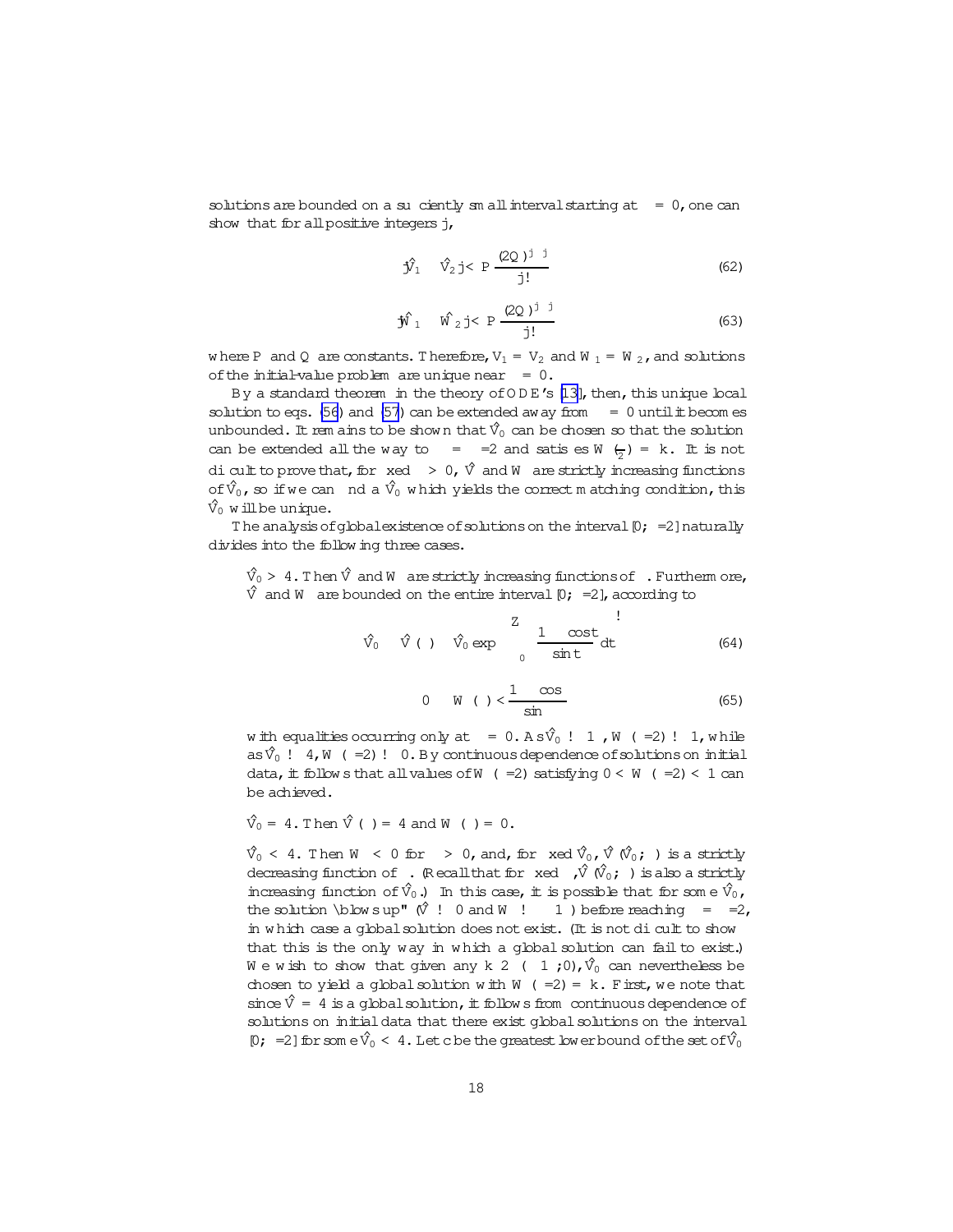solutions are bounded on a su ciently sm all interval starting at  $= 0$ , one can show that for all positive integers j,

$$
\hat{\mathbf{y}}_1 \quad \hat{\mathbf{y}}_2 \neq \mathbf{P} \frac{(2Q)^{j-1}}{j!}
$$
 (62)

$$
\hat{\mathbf{W}}_1 \quad \hat{\mathbf{W}}_2 \text{ j} < \text{ P} \frac{(2Q)^{j} \text{ j}}{j!} \tag{63}
$$

where P and Q are constants. Therefore,  $V_1 = V_2$  and W  $_1 = W_2$ , and solutions of the initial-value problem are unique near  $= 0$ .

By a standard theorem in the theory of ODE's [13], then, this unique local solution to eqs. (56) and (57) can be extended away from  $= 0$  until it becomes unbounded. It rem ains to be shown that  $\hat{V}_0$  can be chosen so that the solution can be extended all the way to = = 2 and satis es W  $\left(\frac{1}{2}\right)$  = k. It is not di cult to prove that, for  $\operatorname{xd} > 0$ ,  $\hat{V}$  and W are strictly increasing functions of  $\hat{V}_0$ , so if we can nd a  $\hat{V}_0$  which yields the correct matching condition, this  $\hat{V}_0$  will be unique.

The analysis of global existence of solutions on the interval  $[0; =2]$  naturally divides into the following three cases.

 $\hat{V}_0 > 4$ . Then  $\hat{V}$  and W are strictly increasing functions of . Furtherm ore,  $\hat{V}$  and W are bounded on the entire interval  $[0; -2]$ , according to

$$
\hat{v}_0 \quad \hat{v} \quad \hat{v}_0 \text{ exp} \quad \frac{z}{\sin t} \text{ dt} \tag{64}
$$

$$
0 \quad W \quad (*) < \frac{1 - \cos}{\sin} \tag{65}
$$

with equalities occurring only at =  $0. A s \hat{V}_0$  ! 1, W (=2) ! 1, while as  $\hat{V}_0$  ! 4, W (=2)! 0. By continuous dependence of solutions on initial data, it follows that all values of W ( = 2) satisfying  $0 < W$  ( = 2) < 1 can be achieved.

$$
\hat{V}_0 = 4
$$
. Then  $\hat{V}( ) = 4$  and  $W( ) = 0$ .

 $\hat{V}_0$  < 4. Then W < 0 for > 0, and, for xed  $\hat{V}_0$ ,  $\hat{V}$   $(\hat{V}_0; )$  is a strictly decreasing function of . (Recall that for  $x \in \mathcal{N}$   $(\hat{V}_0; )$  is also a strictly increasing function of  $\hat{V}_0$ .) In this case, it is possible that for some  $\hat{V}_0$ , the solution \blowsup"  $\hat{V}$  ! 0 and W ! 1 ) before reaching = =2, in which case a global solution does not exist. (It is not di cult to show that this is the only way in which a global solution can fail to exist.) We wish to show that given any k 2 ( 1;0),  $\hat{V}_0$  can nevertheless be chosen to yield a global solution with  $W$  (=2) = k. First, we note that since  $\hat{V} = 4$  is a global solution, it follows from continuous dependence of solutions on initial data that there exist global solutions on the interval [0; =2] for som  $e^{\hat{V}_0} < 4$ . Let c be the greatest low er bound of the set of  $\hat{V}_0$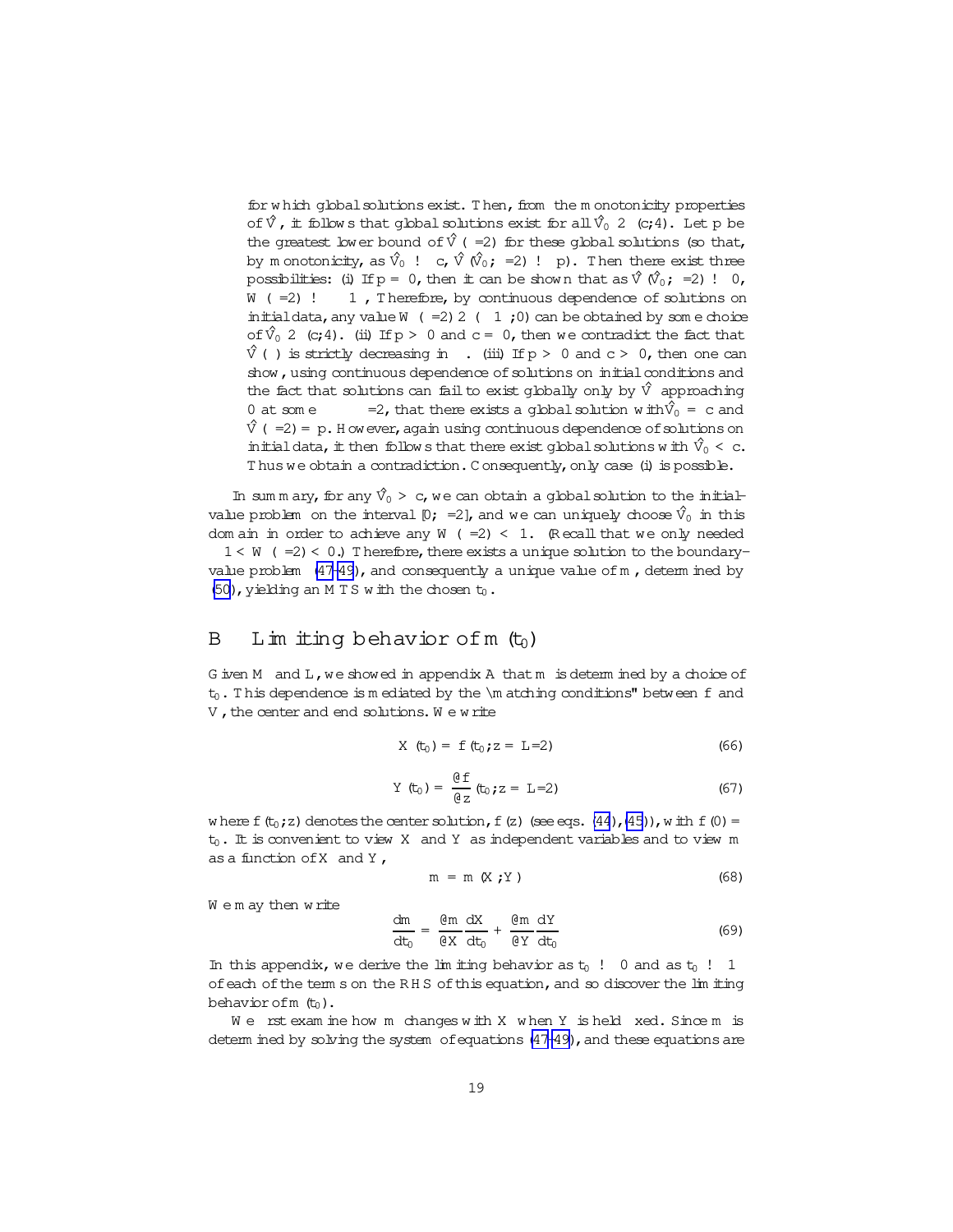<span id="page-18-0"></span>for w hich global solutions exist. Then, from the m onotonicity properties of  $\hat{V}$ , it follow s that global solutions exist for all  $\hat{V}_0$  2 (c;4). Let p be the greatest lower bound of  $\hat{V}$  ( =2) for these global solutions (so that, by m onotonicity, as  $\hat{V}_0$  ! c,  $\hat{V}(\hat{V}_0;=2)$  ! p). Then there exist three possibilities: (i) If  $p = 0$ , then it can be shown that as  $\hat{V}(\hat{V}_0;=2)$ ! 0,  $W$  (=2) ! 1, Therefore, by continuous dependence of solutions on initialdata, any value W  $( =2) 2 ( 1 ; 0)$  can be obtained by som e choice of  $\hat{V}_0$  2 (c;4). (ii) If  $p > 0$  and c = 0, then we contradict the fact that  $\hat{V}$  ( ) is strictly decreasing in . (iii) If  $p > 0$  and  $c > 0$ , then one can show, using continuous dependence of solutions on initial conditions and the fact that solutions can fail to exist globally only by  $\hat{V}$  approaching 0 at som e =2, that there exists a global solution w ith  $\hat{V}_0 = c$  and  $\hat{V}$  (=2) = p. H owever, again using continuous dependence of solutions on initial data, it then follow s that there exist global solutions w ith  $\hat{V}_0 < c$ . Thus we obtain a contradiction. Consequently, only case (i) is possible.

In sum m ary, for any  $\hat{V}_0 > c$ , we can obtain a global solution to the initialvalue problem on the interval  $[0; =2]$ , and we can uniquely choose  $\hat{V}_0$  in this dom ain in order to achieve any W (=2) < 1. (Recall that we only needed  $1 < W$  (=2) < 0.) Therefore, there exists a unique solution to the boundaryvalue problem  $(47-49)$ , and consequently a unique value of m, determ ined by [\(50\)](#page-15-0), yielding an M T S w ith the chosen  $t_0$ .

## B Lim iting behavior of m  $(t_0)$

G iven M and L, we showed in appendix A that m is determ ined by a choice of  $t_0$ . This dependence is m ediated by the  $\ln$  atching conditions" between f and V, the center and end solutions. We write

$$
X(t_0) = f(t_0; z = L=2)
$$
 (66)

$$
Y(t_0) = \frac{\theta f}{\theta z} (t_0; z = L=2)
$$
 (67)

w here f(t<sub>0</sub>;z) denotes the center solution, f(z)(see eqs.[\(44](#page-15-0)),[\(45\)](#page-15-0)), w ith f(0) =  $t_0$ . It is convenient to view X and Y as independent variables and to view m as a function ofX and Y ,

$$
m = m (X;Y)
$$
 (68)

We m ay then write

$$
\frac{dm}{dt_0} = \frac{dm}{\theta X} \frac{dX}{dt_0} + \frac{dm}{\theta Y} \frac{dY}{dt_0}
$$
(69)

In this appendix, we derive the lim it ing behavior as  $t_0$  ! 0 and as  $t_0$  ! 1 of each of the term s on the RHS of this equation, and so discover the lim iting behavior of  $m$   $(t_0)$ .

We rst exam ine how m changes with  $X$  when  $Y$  is held xed. Since m is determ ined by solving the system of equations  $(47-49)$ , and these equations are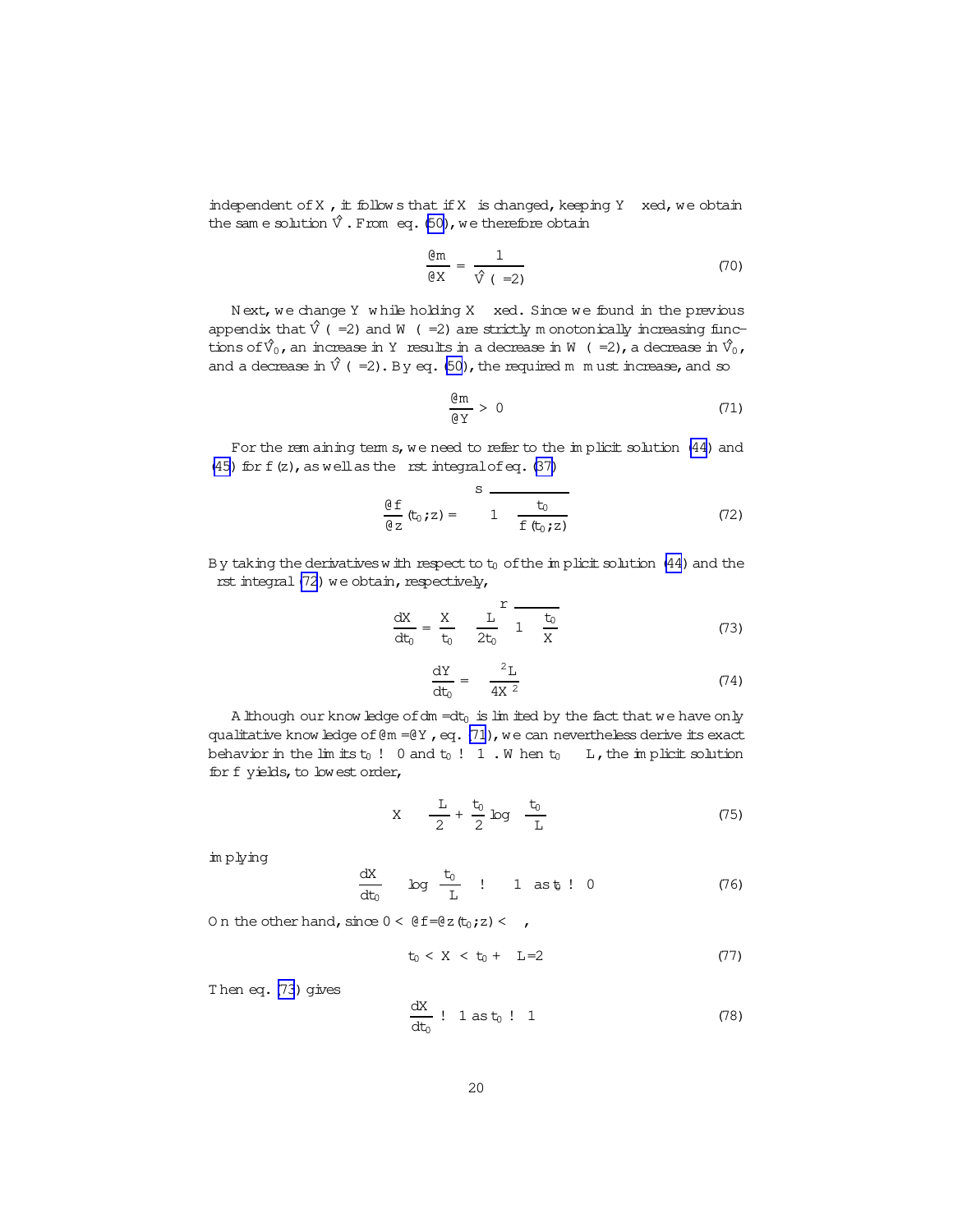<span id="page-19-0"></span>independent of  $X$ , it follow s that if  $X$  is changed, keeping  $Y$  xed, we obtain the same solution  $\hat{V}$ . From eq. [\(50\)](#page-15-0), we therefore obtain

$$
\frac{\text{dm}}{\text{d}x} = \frac{1}{\hat{v} \left( -2 \right)} \tag{70}
$$

Next, we change Y while holding X xed. Since we found in the previous appendix that  $\hat{V}$  (=2) and W (=2) are strictly m onotonically increasing functions of  $\hat{V}_0$ , an increase in Y results in a decrease in W (=2), a decrease in  $\hat{V}_0$ , and a decrease in  $\hat{V}$  (=2). By eq. [\(50\)](#page-15-0), the required m m ust increase, and so

$$
\frac{\mathfrak{G}\mathfrak{m}}{\mathfrak{g}\,\mathfrak{Y}}\,>\,0\tag{71}
$$

For the rem aining term s, we need to refer to the implicit solution [\(44](#page-15-0)) and [\(45\)](#page-15-0) for  $f(z)$ , as well as the rst integral of eq. [\(37\)](#page-14-0)

$$
\frac{\theta f}{\theta z} (t_0, z) = \frac{s}{1 - \frac{t_0}{f (t_0, z)}}
$$
(72)

By taking the derivatives with respect to  $t_0$  of the im plicit solution [\(44](#page-15-0)) and the rst integral  $(72)$  we obtain, respectively,

$$
\frac{dX}{dt_0} = \frac{X}{t_0} \frac{L}{2t_0} \frac{r}{1 + \frac{t_0}{X}}
$$
 (73)

$$
\frac{\text{d}Y}{\text{d}t_0} = \frac{2L}{4X^2} \tag{74}
$$

A lthough our know ledge of dm =dt $_0$  is lim ited by the fact that we have only qualitative know ledge of  $@m = @Y$ , eq. (71), we can nevertheless derive its exact behavior in the lim its  $t_0$  ! 0 and  $t_0$  ! 1 . W hen  $t_0$  L, the im plicit solution for f yields, to lowest order,

$$
X \quad \frac{L}{2} + \frac{t_0}{2} \log \frac{t_0}{L} \tag{75}
$$

im plying

$$
\frac{dX}{dt_0}
$$
  $\log \frac{t_0}{L}$  ! 1 as t<sub>0</sub> ! 0 (76)

On the other hand, since  $0 < \theta f = \theta z (t_0; z) < \theta$ ,

$$
t_0 < X < t_0 + L = 2 \tag{77}
$$

Then eq.  $(73)$  gives

$$
\frac{dX}{dt_0} : 1 \text{ as } t_0 : 1
$$
 (78)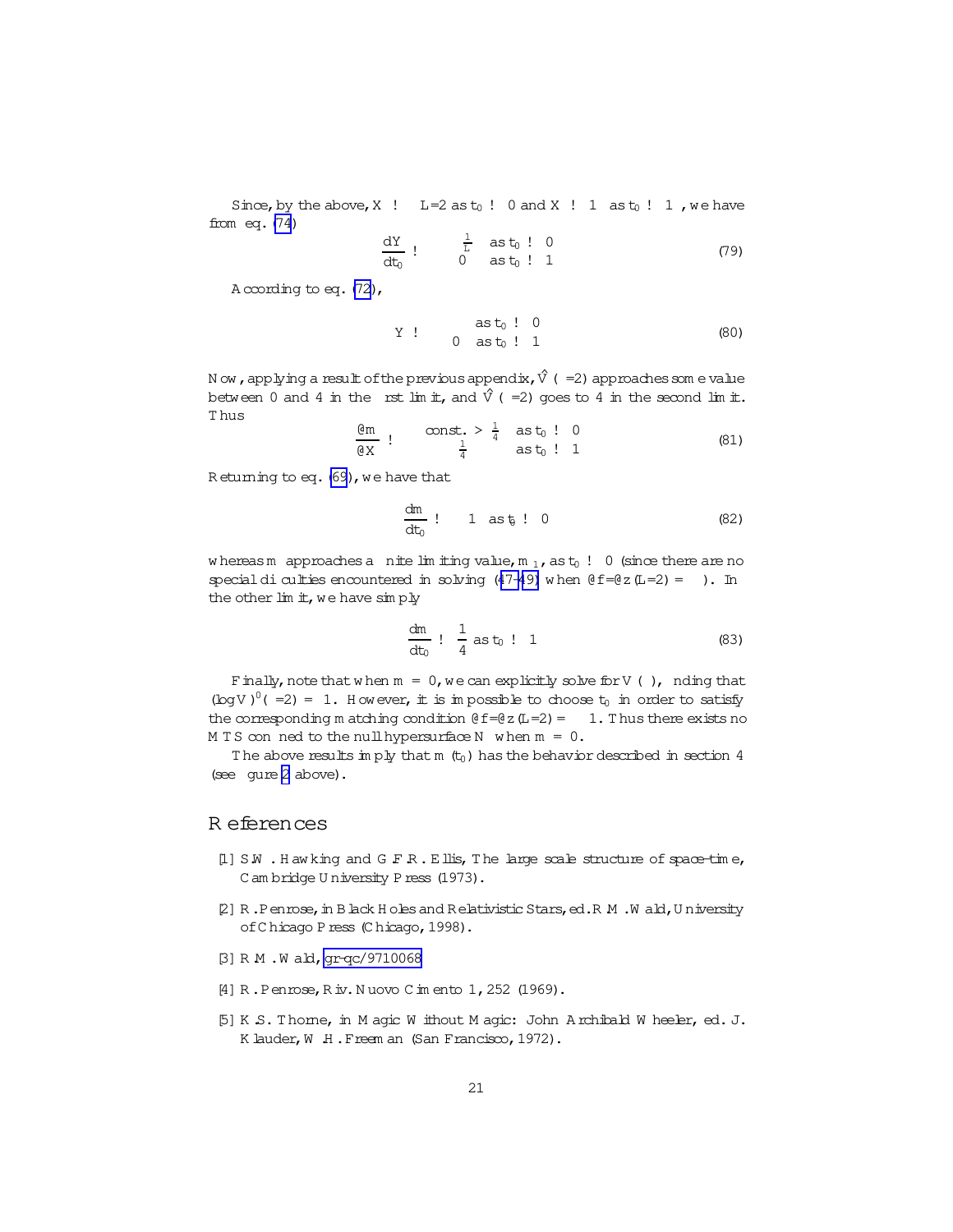<span id="page-20-0"></span>Since, by the above, X ! L=2 as  $t_0$  ! 0 and X ! 1 as  $t_0$  ! 1, we have from  $eq. (74)$ 

$$
\frac{dY}{dt_0} : \frac{1}{L} \text{ as } t_0 : 0
$$
\n
$$
0 \text{ as } t_0 : 1
$$
\n(79)

A coording to eq.  $(72)$ ,

Y ! 
$$
ast_0 : 0
$$
  
0  $ast_0 : 1$  (80)

Now, applying a result of the previous appendix,  $\hat{V}$  ( $=$ 2) approaches som e value between 0 and 4 in the rst lim it, and  $\hat{V}$  (=2) goes to 4 in the second lim it. Thus

$$
\frac{\text{Qm}}{\text{QX}} : \qquad \frac{1}{4} \quad \text{as} \quad t_0 : 0
$$
\n
$$
\frac{1}{4} \quad \text{as} \quad t_0 : 1
$$
\n
$$
(81)
$$

Retuming to eq. (69), we have that

$$
\frac{dm}{dt_0} : 1 \text{ as } t \to 0
$$
 (82)

whereasm approaches a nite limiting value,  $m_1$ , as  $t_0$  ! 0 (since there are no special di culties encountered in solving (47-49) when  $\theta f = \theta z (L = 2) = 1$ . In the other  $\lim_{x \to \infty} x$  we have  $\sin p$  y

$$
\frac{dm}{dt_0} : \frac{1}{4} \text{ as } t_0 : 1
$$
 (83)

Finally, note that when  $m = 0$ , we can explicitly solve for V (), nding that (log V)<sup>0</sup>( $=$ 2) = 1. However, it is impossible to choose  $t_0$  in order to satisfy the corresponding m atching condition  $\theta f = \theta z (L = 2) = 1$ . Thus there exists no M T S con ned to the null hypersurface N when  $m = 0$ .

The above results in ply that  $m(t_0)$  has the behavior described in section 4 (see gure 2 above).

### R eferences

- [1] S.W . Hawking and G.F.R. Ellis, The large scale structure of space-time, C am bridge U niversity P ress (1973).
- [2] R. Penrose, in B lack H oles and Relativistic Stars, ed. R M . W ald, U niversity of Chicago Press (Chicago, 1998).
- [3] R M . W ald, gr-gc/9710068
- [4] R.Penrose, Riv. Nuovo Cimento 1, 252 (1969).
- [5] K.S. Thome, in M agic W ithout M agic: John A rchibald W heeler, ed. J. K lauder, W H. Freem an (San Francisco, 1972).